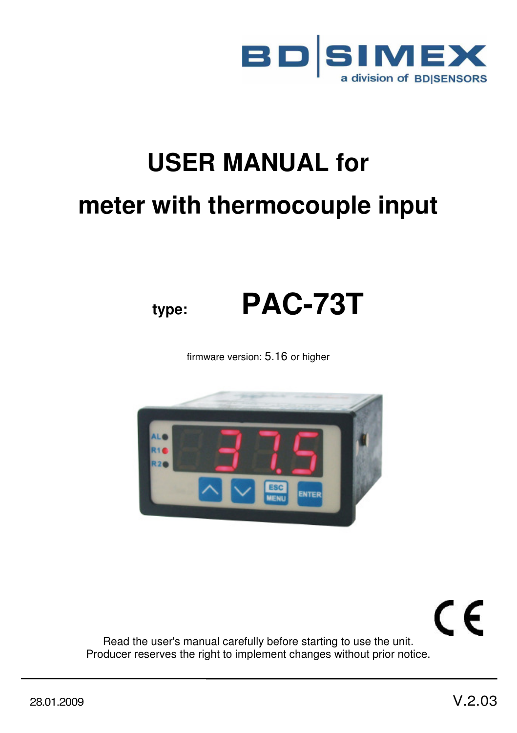

# **USER MANUAL for meter with thermocouple input**



firmware version: 5.16 or higher



CE

Read the user's manual carefully before starting to use the unit. Producer reserves the right to implement changes without prior notice.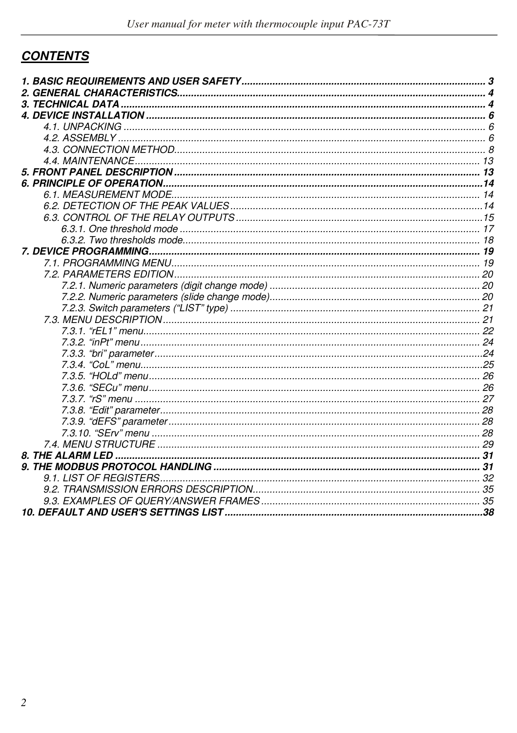# **CONTENTS**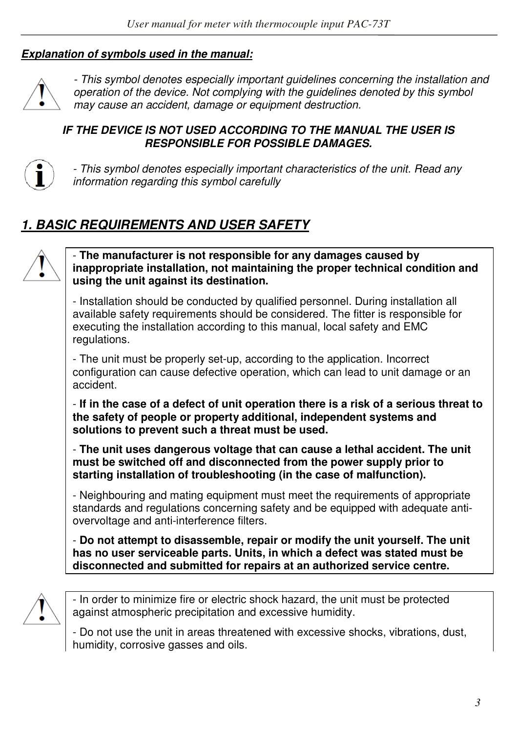#### *Explanation of symbols used in the manual:*



*- This symbol denotes especially important guidelines concerning the installation and operation of the device. Not complying with the guidelines denoted by this symbol may cause an accident, damage or equipment destruction.*

#### *IF THE DEVICE IS NOT USED ACCORDING TO THE MANUAL THE USER IS RESPONSIBLE FOR POSSIBLE DAMAGES.*



*- This symbol denotes especially important characteristics of the unit. Read any information regarding this symbol carefully* 

# *1. BASIC REQUIREMENTS AND USER SAFETY*



- **The manufacturer is not responsible for any damages caused by inappropriate installation, not maintaining the proper technical condition and using the unit against its destination.** 

- Installation should be conducted by qualified personnel. During installation all available safety requirements should be considered. The fitter is responsible for executing the installation according to this manual, local safety and EMC regulations.

- The unit must be properly set-up, according to the application. Incorrect configuration can cause defective operation, which can lead to unit damage or an accident.

- **If in the case of a defect of unit operation there is a risk of a serious threat to the safety of people or property additional, independent systems and solutions to prevent such a threat must be used.** 

- **The unit uses dangerous voltage that can cause a lethal accident. The unit must be switched off and disconnected from the power supply prior to starting installation of troubleshooting (in the case of malfunction).** 

- Neighbouring and mating equipment must meet the requirements of appropriate standards and regulations concerning safety and be equipped with adequate antiovervoltage and anti-interference filters.

- **Do not attempt to disassemble, repair or modify the unit yourself. The unit has no user serviceable parts. Units, in which a defect was stated must be disconnected and submitted for repairs at an authorized service centre.** 



- In order to minimize fire or electric shock hazard, the unit must be protected against atmospheric precipitation and excessive humidity.

- Do not use the unit in areas threatened with excessive shocks, vibrations, dust, humidity, corrosive gasses and oils.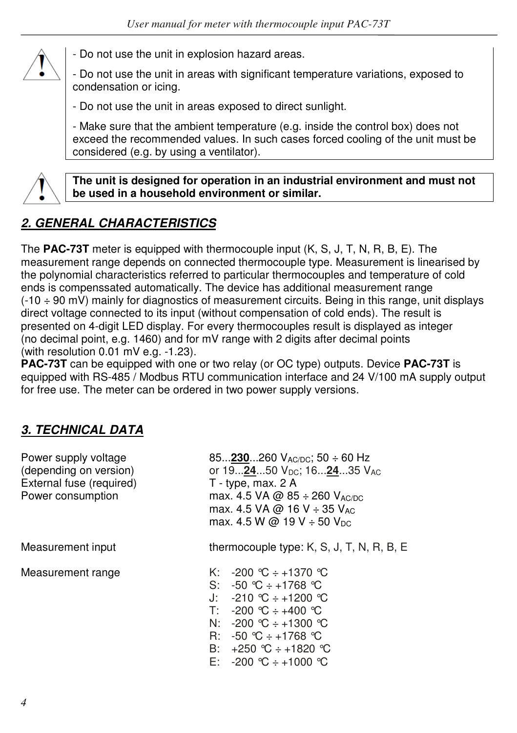

- Do not use the unit in explosion hazard areas.

- Do not use the unit in areas with significant temperature variations, exposed to condensation or icing.

- Do not use the unit in areas exposed to direct sunlight.

- Make sure that the ambient temperature (e.g. inside the control box) does not exceed the recommended values. In such cases forced cooling of the unit must be considered (e.g. by using a ventilator).



**The unit is designed for operation in an industrial environment and must not be used in a household environment or similar.** 

# *2. GENERAL CHARACTERISTICS*

The **PAC-73T** meter is equipped with thermocouple input (K, S, J, T, N, R, B, E). The measurement range depends on connected thermocouple type. Measurement is linearised by the polynomial characteristics referred to particular thermocouples and temperature of cold ends is compenssated automatically. The device has additional measurement range (-10 ÷ 90 mV) mainly for diagnostics of measurement circuits. Being in this range, unit displays direct voltage connected to its input (without compensation of cold ends). The result is presented on 4-digit LED display. For every thermocouples result is displayed as integer (no decimal point, e.g. 1460) and for mV range with 2 digits after decimal points (with resolution 0.01 mV e.g. -1.23).

**PAC-73T** can be equipped with one or two relay (or OC type) outputs. Device **PAC-73T** is equipped with RS-485 / Modbus RTU communication interface and 24 V/100 mA supply output for free use. The meter can be ordered in two power supply versions.

## *3. TECHNICAL DATA*

| Power supply voltage<br>(depending on version)<br>External fuse (required)<br>Power consumption | 85 $230260$ V <sub>AC/DC</sub> ; 50 $\div$ 60 Hz<br>or 192450 $V_{\text{DC}}$ ; 162435 $V_{\text{AC}}$<br>$T - type$ , max. 2 A<br>max. 4.5 VA @ 85 $\div$ 260 V <sub>AC/DC</sub><br>max. 4.5 VA @ 16 V $\div$ 35 V <sub>AC</sub><br>max. 4.5 W @ 19 V $\div$ 50 V <sub>DC</sub> |  |  |  |
|-------------------------------------------------------------------------------------------------|----------------------------------------------------------------------------------------------------------------------------------------------------------------------------------------------------------------------------------------------------------------------------------|--|--|--|
| Measurement input                                                                               | thermocouple type: $K$ , $S$ , $J$ , $T$ , $N$ , $R$ , $B$ , $E$                                                                                                                                                                                                                 |  |  |  |
| Measurement range                                                                               | K: $-200$ °C ÷ +1370 °C<br>S: $-50$ °C $\div$ +1768 °C<br>J: $-210$ ℃ ÷ +1200 ℃<br>$T: -200 °C \div +400 °C$<br>N: $-200 \text{ °C} \div +1300 \text{ °C}$<br>R: $-50$ °C $\div$ +1768 °C<br>B: $+250$ °C $\div$ +1820 °C<br>E: $-200 \text{ °C} \div +1000 \text{ °C}$          |  |  |  |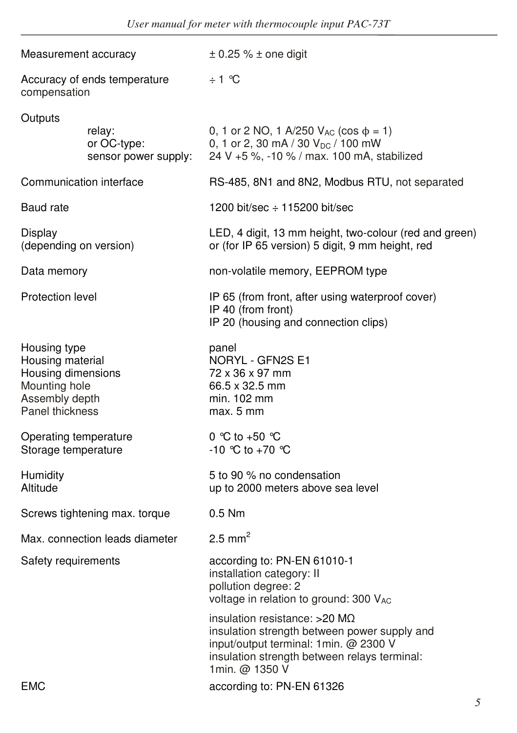| Measurement accuracy                                                                                         |                                               | $\pm$ 0.25 % $\pm$ one digit                                                                                                                                                             |  |  |  |  |
|--------------------------------------------------------------------------------------------------------------|-----------------------------------------------|------------------------------------------------------------------------------------------------------------------------------------------------------------------------------------------|--|--|--|--|
| Accuracy of ends temperature<br>compensation                                                                 |                                               | $\div$ 1 °C                                                                                                                                                                              |  |  |  |  |
| Outputs                                                                                                      | relay:<br>or OC-type:<br>sensor power supply: | 0, 1 or 2 NO, 1 A/250 $V_{AC}$ (cos $\phi = 1$ )<br>0, 1 or 2, 30 mA / 30 V <sub>DC</sub> / 100 mW<br>24 V +5 %, -10 % / max. 100 mA, stabilized                                         |  |  |  |  |
|                                                                                                              | Communication interface                       | RS-485, 8N1 and 8N2, Modbus RTU, not separated                                                                                                                                           |  |  |  |  |
| Baud rate                                                                                                    |                                               | 1200 bit/sec $\div$ 115200 bit/sec                                                                                                                                                       |  |  |  |  |
| Display<br>(depending on version)                                                                            |                                               | LED, 4 digit, 13 mm height, two-colour (red and green)<br>or (for IP 65 version) 5 digit, 9 mm height, red                                                                               |  |  |  |  |
| Data memory                                                                                                  |                                               | non-volatile memory, EEPROM type                                                                                                                                                         |  |  |  |  |
| Protection level                                                                                             |                                               | IP 65 (from front, after using waterproof cover)<br>IP 40 (from front)<br>IP 20 (housing and connection clips)                                                                           |  |  |  |  |
| Housing type<br>Housing material<br>Housing dimensions<br>Mounting hole<br>Assembly depth<br>Panel thickness |                                               | panel<br>NORYL - GFN2S E1<br>72 x 36 x 97 mm<br>66.5 x 32.5 mm<br>min. 102 mm<br>max. 5 mm                                                                                               |  |  |  |  |
| Operating temperature<br>Storage temperature                                                                 |                                               | 0 °C to +50 °C<br>-10 ℃ to +70 ℃                                                                                                                                                         |  |  |  |  |
| Humidity<br>Altitude                                                                                         |                                               | 5 to 90 % no condensation<br>up to 2000 meters above sea level                                                                                                                           |  |  |  |  |
|                                                                                                              | Screws tightening max. torque                 | $0.5$ Nm                                                                                                                                                                                 |  |  |  |  |
|                                                                                                              | Max. connection leads diameter                | 2.5 mm <sup>2</sup>                                                                                                                                                                      |  |  |  |  |
| Safety requirements                                                                                          |                                               | according to: PN-EN 61010-1<br>installation category: II<br>pollution degree: 2<br>voltage in relation to ground: 300 VAC                                                                |  |  |  |  |
|                                                                                                              |                                               | insulation resistance: >20 MΩ<br>insulation strength between power supply and<br>input/output terminal: 1min. @ 2300 V<br>insulation strength between relays terminal:<br>1min. @ 1350 V |  |  |  |  |
| <b>EMC</b>                                                                                                   |                                               | according to: PN-EN 61326                                                                                                                                                                |  |  |  |  |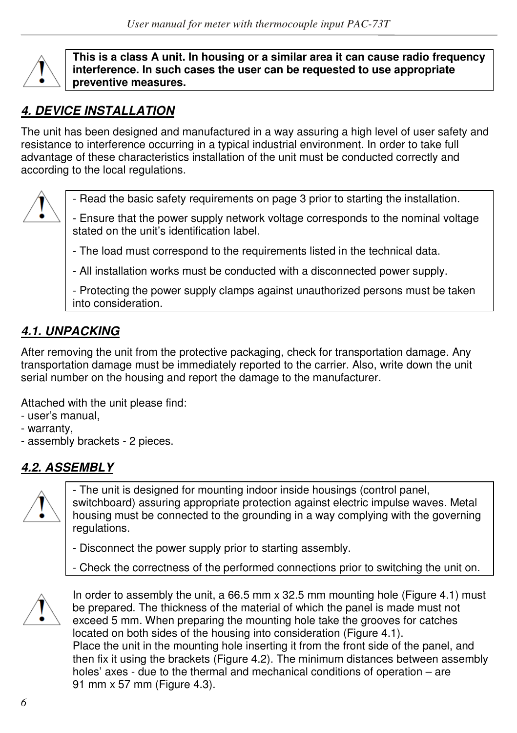

**This is a class A unit. In housing or a similar area it can cause radio frequency interference. In such cases the user can be requested to use appropriate preventive measures.** 

# *4. DEVICE INSTALLATION*

The unit has been designed and manufactured in a way assuring a high level of user safety and resistance to interference occurring in a typical industrial environment. In order to take full advantage of these characteristics installation of the unit must be conducted correctly and according to the local regulations.



- Read the basic safety requirements on page 3 prior to starting the installation.

- Ensure that the power supply network voltage corresponds to the nominal voltage stated on the unit's identification label.

- The load must correspond to the requirements listed in the technical data.

- All installation works must be conducted with a disconnected power supply.

- Protecting the power supply clamps against unauthorized persons must be taken into consideration.

# *4.1. UNPACKING*

After removing the unit from the protective packaging, check for transportation damage. Any transportation damage must be immediately reported to the carrier. Also, write down the unit serial number on the housing and report the damage to the manufacturer.

Attached with the unit please find:

- user's manual,
- warranty,
- assembly brackets 2 pieces.

# *4.2. ASSEMBLY*



- The unit is designed for mounting indoor inside housings (control panel, switchboard) assuring appropriate protection against electric impulse waves. Metal housing must be connected to the grounding in a way complying with the governing regulations.

- Disconnect the power supply prior to starting assembly.

- Check the correctness of the performed connections prior to switching the unit on.



In order to assembly the unit, a 66.5 mm x 32.5 mm mounting hole (Figure 4.1) must be prepared. The thickness of the material of which the panel is made must not exceed 5 mm. When preparing the mounting hole take the grooves for catches located on both sides of the housing into consideration (Figure 4.1). Place the unit in the mounting hole inserting it from the front side of the panel, and then fix it using the brackets (Figure 4.2). The minimum distances between assembly holes' axes - due to the thermal and mechanical conditions of operation – are 91 mm x 57 mm (Figure 4.3).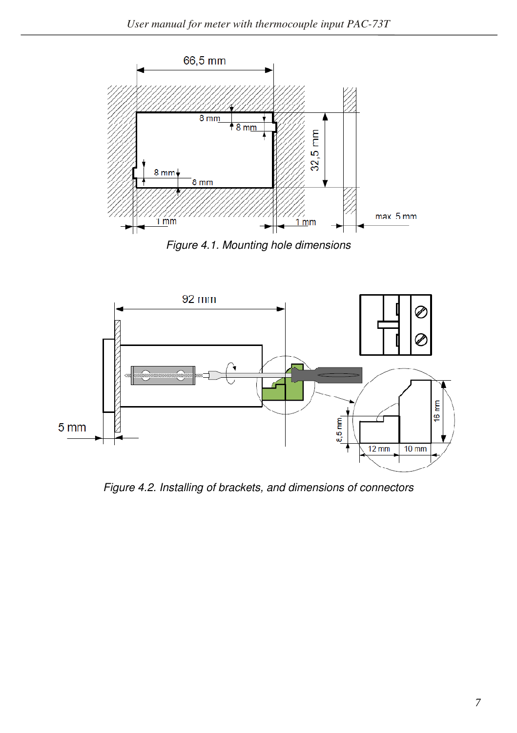

*Figure 4.1. Mounting hole dimensions* 



*Figure 4.2. Installing of brackets, and dimensions of connectors*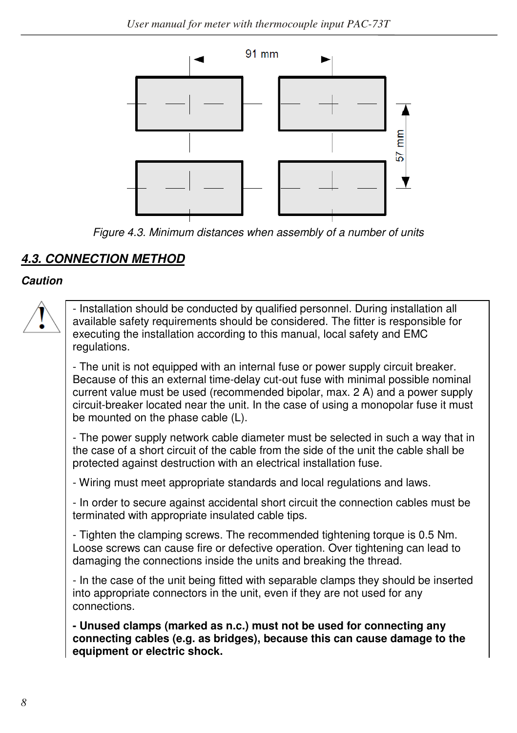

*Figure 4.3. Minimum distances when assembly of a number of units* 

# *4.3. CONNECTION METHOD*

## *Caution*

- Installation should be conducted by qualified personnel. During installation all available safety requirements should be considered. The fitter is responsible for executing the installation according to this manual, local safety and EMC regulations.

- The unit is not equipped with an internal fuse or power supply circuit breaker. Because of this an external time-delay cut-out fuse with minimal possible nominal current value must be used (recommended bipolar, max. 2 A) and a power supply circuit-breaker located near the unit. In the case of using a monopolar fuse it must be mounted on the phase cable (L).

- The power supply network cable diameter must be selected in such a way that in the case of a short circuit of the cable from the side of the unit the cable shall be protected against destruction with an electrical installation fuse.

- Wiring must meet appropriate standards and local regulations and laws.

- In order to secure against accidental short circuit the connection cables must be terminated with appropriate insulated cable tips.

- Tighten the clamping screws. The recommended tightening torque is 0.5 Nm. Loose screws can cause fire or defective operation. Over tightening can lead to damaging the connections inside the units and breaking the thread.

- In the case of the unit being fitted with separable clamps they should be inserted into appropriate connectors in the unit, even if they are not used for any connections.

**- Unused clamps (marked as n.c.) must not be used for connecting any connecting cables (e.g. as bridges), because this can cause damage to the equipment or electric shock.**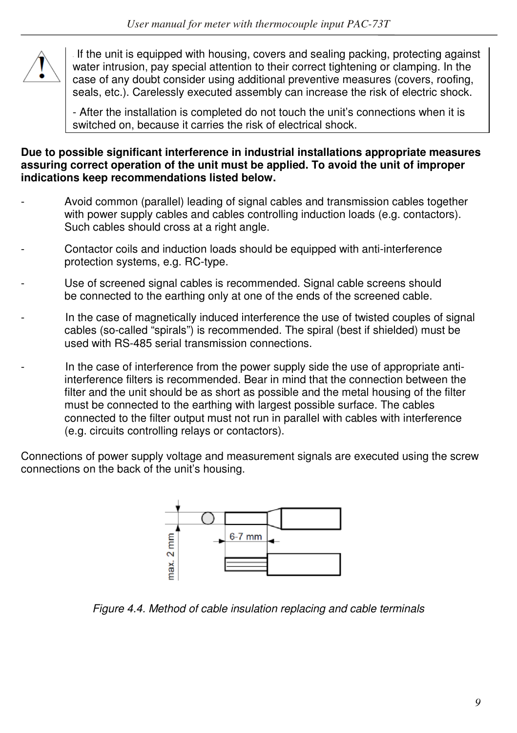

If the unit is equipped with housing, covers and sealing packing, protecting against water intrusion, pay special attention to their correct tightening or clamping. In the case of any doubt consider using additional preventive measures (covers, roofing, seals, etc.). Carelessly executed assembly can increase the risk of electric shock.

- After the installation is completed do not touch the unit's connections when it is switched on, because it carries the risk of electrical shock.

#### **Due to possible significant interference in industrial installations appropriate measures assuring correct operation of the unit must be applied. To avoid the unit of improper indications keep recommendations listed below.**

- Avoid common (parallel) leading of signal cables and transmission cables together with power supply cables and cables controlling induction loads (e.g. contactors). Such cables should cross at a right angle.
- Contactor coils and induction loads should be equipped with anti-interference protection systems, e.g. RC-type.
- Use of screened signal cables is recommended. Signal cable screens should be connected to the earthing only at one of the ends of the screened cable.
- In the case of magnetically induced interference the use of twisted couples of signal cables (so-called "spirals") is recommended. The spiral (best if shielded) must be used with RS-485 serial transmission connections.
- In the case of interference from the power supply side the use of appropriate antiinterference filters is recommended. Bear in mind that the connection between the filter and the unit should be as short as possible and the metal housing of the filter must be connected to the earthing with largest possible surface. The cables connected to the filter output must not run in parallel with cables with interference (e.g. circuits controlling relays or contactors).

Connections of power supply voltage and measurement signals are executed using the screw connections on the back of the unit's housing.



*Figure 4.4. Method of cable insulation replacing and cable terminals*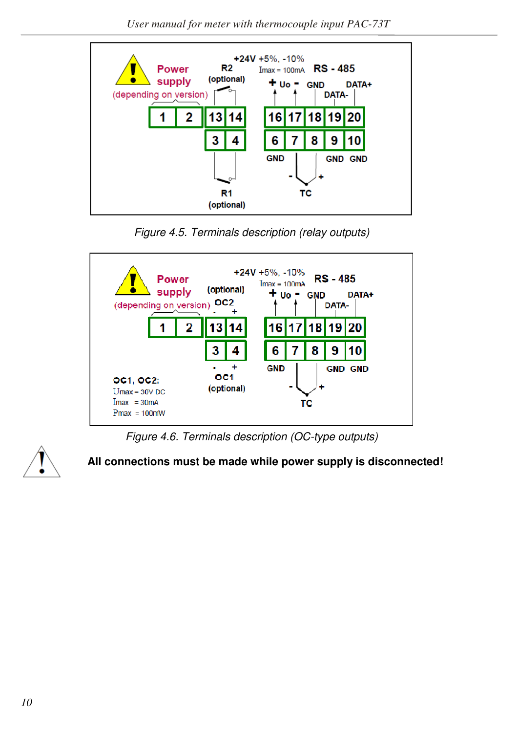

*Figure 4.5. Terminals description (relay outputs)*



*Figure 4.6. Terminals description (OC-type outputs)*



 **All connections must be made while power supply is disconnected!**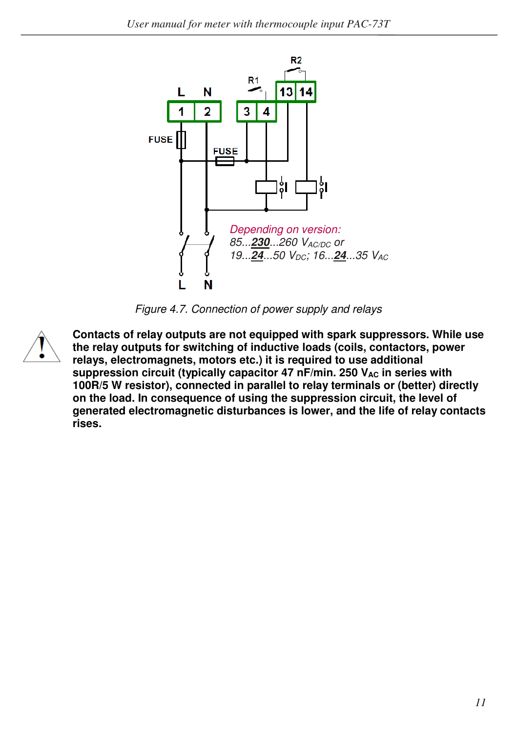

*Figure 4.7. Connection of power supply and relays* 



**Contacts of relay outputs are not equipped with spark suppressors. While use the relay outputs for switching of inductive loads (coils, contactors, power relays, electromagnets, motors etc.) it is required to use additional**  suppression circuit (typically capacitor 47 nF/min. 250 V<sub>AC</sub> in series with **100R/5 W resistor), connected in parallel to relay terminals or (better) directly on the load. In consequence of using the suppression circuit, the level of generated electromagnetic disturbances is lower, and the life of relay contacts rises.**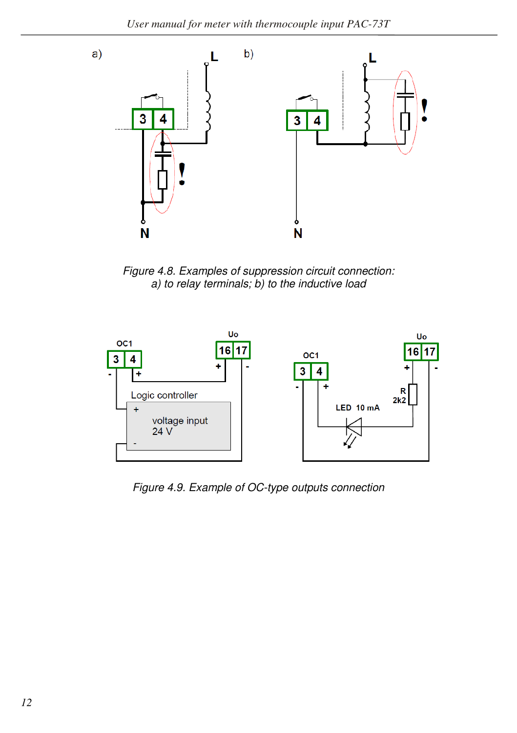

*Figure 4.8. Examples of suppression circuit connection: a) to relay terminals; b) to the inductive load* 



*Figure 4.9. Example of OC-type outputs connection*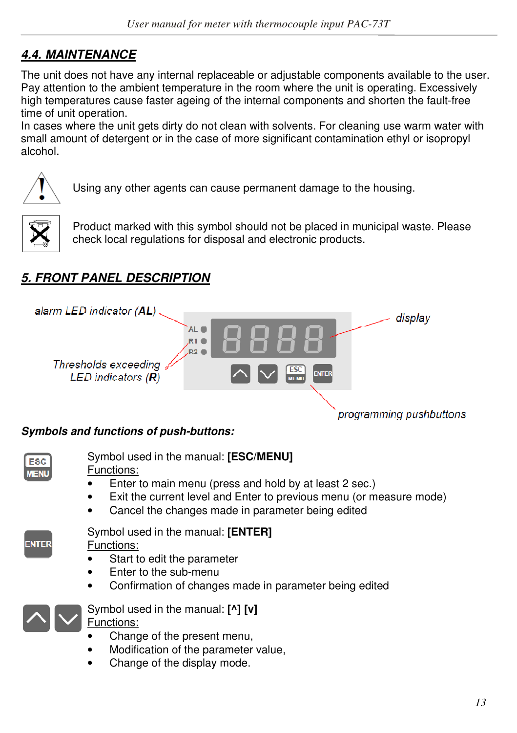# *4.4. MAINTENANCE*

The unit does not have any internal replaceable or adjustable components available to the user. Pay attention to the ambient temperature in the room where the unit is operating. Excessively high temperatures cause faster ageing of the internal components and shorten the fault-free time of unit operation.

In cases where the unit gets dirty do not clean with solvents. For cleaning use warm water with small amount of detergent or in the case of more significant contamination ethyl or isopropyl alcohol.



Using any other agents can cause permanent damage to the housing.



Product marked with this symbol should not be placed in municipal waste. Please check local regulations for disposal and electronic products.

# *5. FRONT PANEL DESCRIPTION*



## *Symbols and functions of push-buttons:*



Symbol used in the manual: **[ESC/MENU]**

Functions:

- Enter to main menu (press and hold by at least 2 sec.)
- Exit the current level and Enter to previous menu (or measure mode)
- Cancel the changes made in parameter being edited



• Confirmation of changes made in parameter being edited



Symbol used in the manual: **[^] [v]**  Functions:

- Change of the present menu,
- Modification of the parameter value,
- Change of the display mode.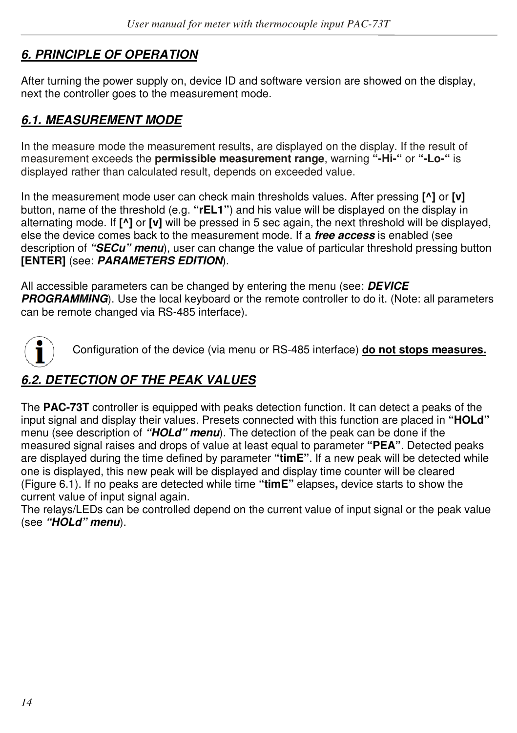# *6. PRINCIPLE OF OPERATION*

After turning the power supply on, device ID and software version are showed on the display, next the controller goes to the measurement mode.

## *6.1. MEASUREMENT MODE*

In the measure mode the measurement results, are displayed on the display. If the result of measurement exceeds the **permissible measurement range**, warning **"-Hi-"** or **"-Lo-"** is displayed rather than calculated result, depends on exceeded value.

In the measurement mode user can check main thresholds values. After pressing **[^]** or **[v]**  button, name of the threshold (e.g. **"rEL1"**) and his value will be displayed on the display in alternating mode. If **[^]** or **[v]** will be pressed in 5 sec again, the next threshold will be displayed, else the device comes back to the measurement mode. If a *free access* is enabled (see description of *"SECu" menu*), user can change the value of particular threshold pressing button **[ENTER]** (see: *PARAMETERS EDITION*).

All accessible parameters can be changed by entering the menu (see: *DEVICE*  **PROGRAMMING**). Use the local keyboard or the remote controller to do it. (Note: all parameters can be remote changed via RS-485 interface).



Configuration of the device (via menu or RS-485 interface) **do not stops measures.**

# *6.2. DETECTION OF THE PEAK VALUES*

The **PAC-73T** controller is equipped with peaks detection function. It can detect a peaks of the input signal and display their values. Presets connected with this function are placed in **"HOLd"**  menu (see description of *"HOLd" menu*). The detection of the peak can be done if the measured signal raises and drops of value at least equal to parameter **"PEA"**. Detected peaks are displayed during the time defined by parameter **"timE"**. If a new peak will be detected while one is displayed, this new peak will be displayed and display time counter will be cleared (Figure 6.1). If no peaks are detected while time **"timE"** elapses**,** device starts to show the current value of input signal again.

The relays/LEDs can be controlled depend on the current value of input signal or the peak value (see *"HOLd" menu*).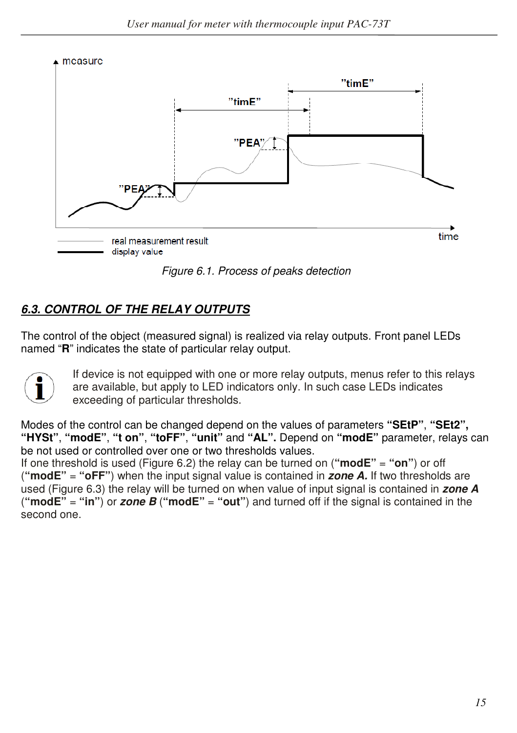measure



*Figure 6.1. Process of peaks detection* 

# *6.3. CONTROL OF THE RELAY OUTPUTS*

The control of the object (measured signal) is realized via relay outputs. Front panel LEDs named "**R**" indicates the state of particular relay output.



If device is not equipped with one or more relay outputs, menus refer to this relays are available, but apply to LED indicators only. In such case LEDs indicates exceeding of particular thresholds.

Modes of the control can be changed depend on the values of parameters **"SEtP"**, **"SEt2", "HYSt"**, **"modE"**, **"t on"**, **"toFF"**, **"unit"** and **"AL".** Depend on **"modE"** parameter, relays can be not used or controlled over one or two thresholds values.

If one threshold is used (Figure 6.2) the relay can be turned on (**"modE"** = **"on"**) or off (**"modE"** = **"oFF"**) when the input signal value is contained in *zone A.* If two thresholds are used (Figure 6.3) the relay will be turned on when value of input signal is contained in *zone A*  ("**modE"** = "in") or *zone B* ("modE" = "out") and turned off if the signal is contained in the second one.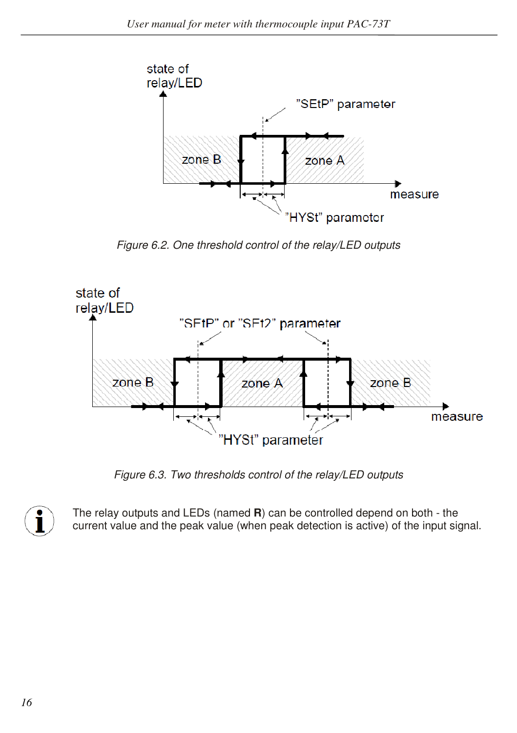

*Figure 6.2. One threshold control of the relay/LED outputs* 



*Figure 6.3. Two thresholds control of the relay/LED outputs* 



The relay outputs and LEDs (named **R**) can be controlled depend on both - the current value and the peak value (when peak detection is active) of the input signal.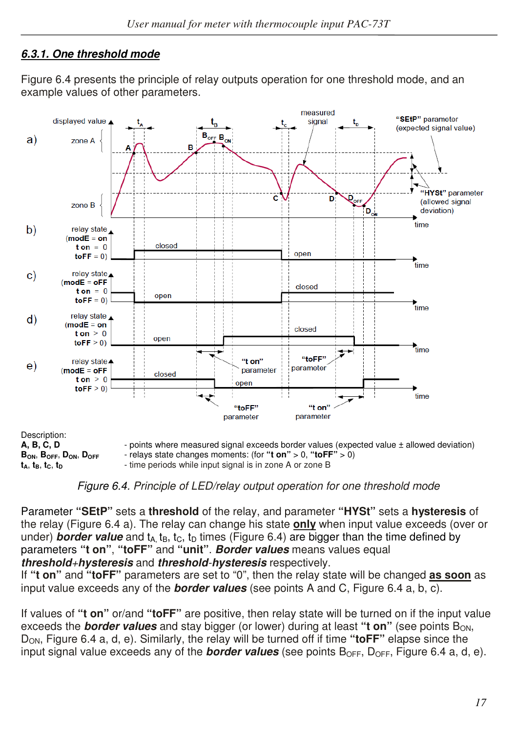## *6.3.1. One threshold mode*

Figure 6.4 presents the principle of relay outputs operation for one threshold mode, and an example values of other parameters.



*Figure 6.4. Principle of LED/relay output operation for one threshold mode*

Parameter **"SEtP"** sets a **threshold** of the relay, and parameter **"HYSt"** sets a **hysteresis** of the relay (Figure 6.4 a). The relay can change his state **only** when input value exceeds (over or under) **border value** and  $t_A$ ,  $t_B$ ,  $t_C$ ,  $t_D$  times (Figure 6.4) are bigger than the time defined by parameters **"t on"**, **"toFF"** and **"unit"**. *Border values* means values equal *threshold+hysteresis* and *threshold-hysteresis* respectively.

If **"t on"** and **"toFF"** parameters are set to "0", then the relay state will be changed **as soon** as input value exceeds any of the *border values* (see points A and C, Figure 6.4 a, b, c).

If values of **"t on"** or/and **"toFF"** are positive, then relay state will be turned on if the input value exceeds the **border values** and stay bigger (or lower) during at least "t on" (see points B<sub>ON</sub>, DON, Figure 6.4 a, d, e). Similarly, the relay will be turned off if time **"toFF"** elapse since the input signal value exceeds any of the **border values** (see points B<sub>OFF</sub>, D<sub>OFF</sub>, Figure 6.4 a, d, e).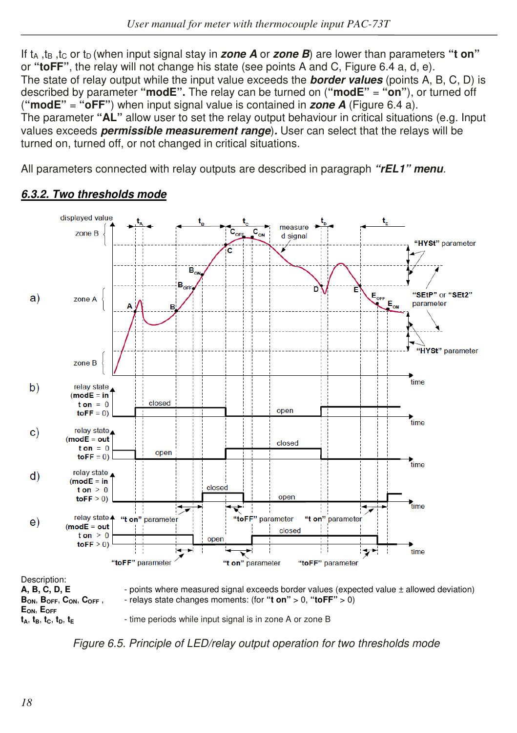If t<sub>A</sub>, t<sub>B</sub>, t<sub>C</sub> or t<sub>D</sub> (when input signal stay in *zone A* or *zone B*) are lower than parameters "**t on**" or **"toFF"**, the relay will not change his state (see points A and C, Figure 6.4 a, d, e). The state of relay output while the input value exceeds the *border values* (points A, B, C, D) is described by parameter **"modE".** The relay can be turned on (**"modE"** = **"on"**), or turned off (**"modE"** = **"oFF"**) when input signal value is contained in *zone A* (Figure 6.4 a). The parameter **"AL"** allow user to set the relay output behaviour in critical situations (e.g. Input values exceeds *permissible measurement range*)*.* User can select that the relays will be turned on, turned off, or not changed in critical situations.

All parameters connected with relay outputs are described in paragraph *"rEL1" menu.*



#### *6.3.2. Two thresholds mode*

*Figure 6.5. Principle of LED/relay output operation for two thresholds mode*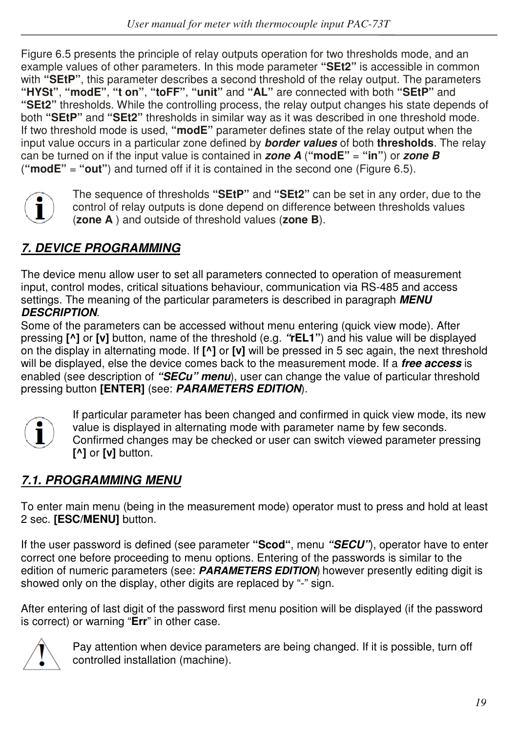Figure 6.5 presents the principle of relay outputs operation for two thresholds mode, and an example values of other parameters. In this mode parameter **"SEt2"** is accessible in common with **"SEtP"**, this parameter describes a second threshold of the relay output. The parameters **"HYSt"**, **"modE"**, **"t on"**, **"toFF"**, **"unit"** and **"AL"** are connected with both **"SEtP"** and **"SEt2"** thresholds. While the controlling process, the relay output changes his state depends of both **"SEtP"** and **"SEt2"** thresholds in similar way as it was described in one threshold mode. If two threshold mode is used, **"modE"** parameter defines state of the relay output when the input value occurs in a particular zone defined by *border values* of both **thresholds**. The relay can be turned on if the input value is contained in *zone A* (**"modE"** = **"in"**) or *zone B*  (**"modE"** = **"out"**) and turned off if it is contained in the second one (Figure 6.5).



The sequence of thresholds **"SEtP"** and **"SEt2"** can be set in any order, due to the control of relay outputs is done depend on difference between thresholds values (**zone A** ) and outside of threshold values (**zone B**).

# *7. DEVICE PROGRAMMING*

The device menu allow user to set all parameters connected to operation of measurement input, control modes, critical situations behaviour, communication via RS-485 and access settings. The meaning of the particular parameters is described in paragraph *MENU DESCRIPTION*.

Some of the parameters can be accessed without menu entering (quick view mode). After pressing **[^]** or **[v]** button, name of the threshold (e.g. *"***rEL1"**) and his value will be displayed on the display in alternating mode. If **[^]** or **[v]** will be pressed in 5 sec again, the next threshold will be displayed, else the device comes back to the measurement mode. If a *free access* is enabled (see description of *"SECu" menu*), user can change the value of particular threshold pressing button **[ENTER]** (see: *PARAMETERS EDITION*).



If particular parameter has been changed and confirmed in quick view mode, its new value is displayed in alternating mode with parameter name by few seconds. Confirmed changes may be checked or user can switch viewed parameter pressing **[^]** or **[v]** button.

# *7.1. PROGRAMMING MENU*

To enter main menu (being in the measurement mode) operator must to press and hold at least 2 sec. **[ESC/MENU]** button.

If the user password is defined (see parameter **"Scod"**, menu *"SECU"*), operator have to enter correct one before proceeding to menu options. Entering of the passwords is similar to the edition of numeric parameters (see: **PARAMETERS EDITION**) however presently editing digit is showed only on the display, other digits are replaced by "-" sign.

After entering of last digit of the password first menu position will be displayed (if the password is correct) or warning "**Err**" in other case.



Pay attention when device parameters are being changed. If it is possible, turn off controlled installation (machine).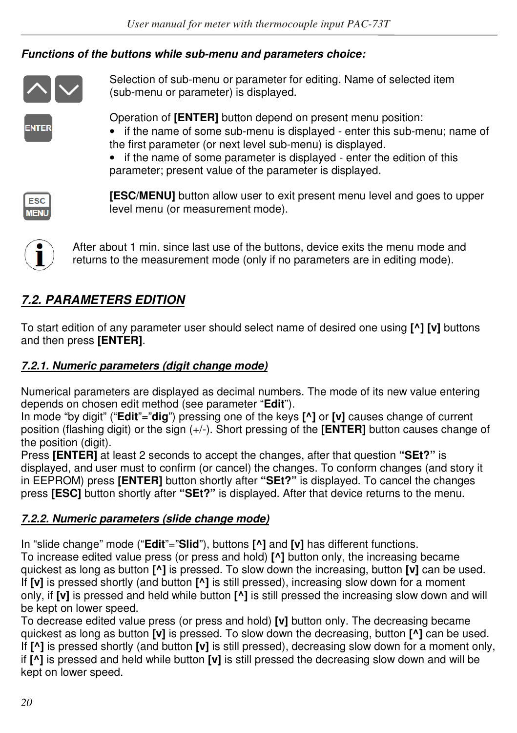## *Functions of the buttons while sub-menu and parameters choice:*



Selection of sub-menu or parameter for editing. Name of selected item (sub-menu or parameter) is displayed.

**NTER** 

Operation of **[ENTER]** button depend on present menu position:

- if the name of some sub-menu is displayed enter this sub-menu; name of the first parameter (or next level sub-menu) is displayed.
- if the name of some parameter is displayed enter the edition of this parameter; present value of the parameter is displayed.



**[ESC/MENU]** button allow user to exit present menu level and goes to upper level menu (or measurement mode).



After about 1 min. since last use of the buttons, device exits the menu mode and returns to the measurement mode (only if no parameters are in editing mode).

# *7.2. PARAMETERS EDITION*

To start edition of any parameter user should select name of desired one using **[^] [v]** buttons and then press **[ENTER]**.

## *7.2.1. Numeric parameters (digit change mode)*

Numerical parameters are displayed as decimal numbers. The mode of its new value entering depends on chosen edit method (see parameter "**Edit**").

In mode "by digit" ("**Edit**"="**dig**") pressing one of the keys **[^]** or **[v]** causes change of current position (flashing digit) or the sign (+/-). Short pressing of the **[ENTER]** button causes change of the position (digit).

Press **[ENTER]** at least 2 seconds to accept the changes, after that question **"SEt?"** is displayed, and user must to confirm (or cancel) the changes. To conform changes (and story it in EEPROM) press **[ENTER]** button shortly after **"SEt?"** is displayed. To cancel the changes press **[ESC]** button shortly after **"SEt?"** is displayed. After that device returns to the menu.

## *7.2.2. Numeric parameters (slide change mode)*

In "slide change" mode ("**Edit**"="**Slid**"), buttons **[^]** and **[v]** has different functions.

To increase edited value press (or press and hold) **[^]** button only, the increasing became quickest as long as button **[^]** is pressed. To slow down the increasing, button **[v]** can be used. If **[v]** is pressed shortly (and button **[^]** is still pressed), increasing slow down for a moment only, if **[v]** is pressed and held while button **[^]** is still pressed the increasing slow down and will be kept on lower speed.

To decrease edited value press (or press and hold) **[v]** button only. The decreasing became quickest as long as button **[v]** is pressed. To slow down the decreasing, button **[^]** can be used. If **[^]** is pressed shortly (and button **[v]** is still pressed), decreasing slow down for a moment only, if **[^]** is pressed and held while button **[v]** is still pressed the decreasing slow down and will be kept on lower speed.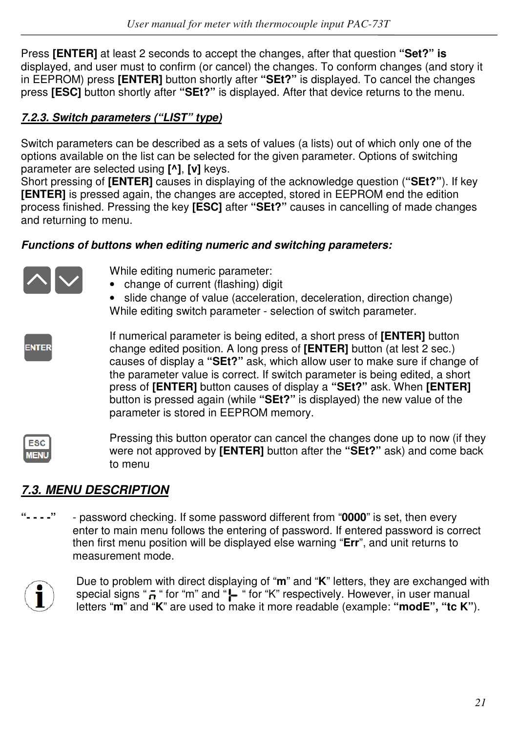Press **[ENTER]** at least 2 seconds to accept the changes, after that question **"Set?" is**  displayed, and user must to confirm (or cancel) the changes. To conform changes (and story it in EEPROM) press **[ENTER]** button shortly after **"SEt?"** is displayed. To cancel the changes press **[ESC]** button shortly after **"SEt?"** is displayed. After that device returns to the menu.

## *7.2.3. Switch parameters ("LIST" type)*

Switch parameters can be described as a sets of values (a lists) out of which only one of the options available on the list can be selected for the given parameter. Options of switching parameter are selected using **[^]**, **[v]** keys.

Short pressing of **[ENTER]** causes in displaying of the acknowledge question (**"SEt?"**). If key **[ENTER]** is pressed again, the changes are accepted, stored in EEPROM end the edition process finished. Pressing the key **[ESC]** after **"SEt?"** causes in cancelling of made changes and returning to menu.

#### *Functions of buttons when editing numeric and switching parameters:*



button is pressed again (while **"SEt?"** is displayed) the new value of the parameter is stored in EEPROM memory.

ESC **WEN** 

Pressing this button operator can cancel the changes done up to now (if they were not approved by **[ENTER]** button after the **"SEt?"** ask) and come back to menu

# *7.3. MENU DESCRIPTION*

**"- - - -"** - password checking. If some password different from "**0000**" is set, then every enter to main menu follows the entering of password. If entered password is correct then first menu position will be displayed else warning "**Err**", and unit returns to measurement mode.



Due to problem with direct displaying of "**m**" and "**K**" letters, they are exchanged with special signs " $\bar{p}$  " for "m" and " $\bar{p}$  " for "K" respectively. However, in user manual letters "**m**" and "**K**" are used to make it more readable (example: **"modE", "tc K"**).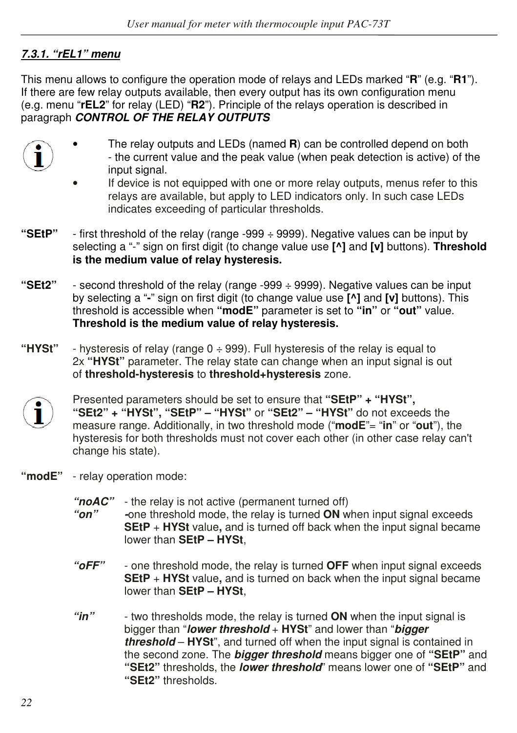## *7.3.1. "rEL1" menu*

This menu allows to configure the operation mode of relays and LEDs marked "**R**" (e.g. "**R1**"). If there are few relay outputs available, then every output has its own configuration menu (e.g. menu "**rEL2**" for relay (LED) "**R2**"). Principle of the relays operation is described in paragraph *CONTROL OF THE RELAY OUTPUTS.* 

- 
- The relay outputs and LEDs (named **R**) can be controlled depend on both - the current value and the peak value (when peak detection is active) of the input signal.
- If device is not equipped with one or more relay outputs, menus refer to this relays are available, but apply to LED indicators only. In such case LEDs indicates exceeding of particular thresholds.
- **"SEtP"**  first threshold of the relay (range -999 ÷ 9999). Negative values can be input by selecting a "-" sign on first digit (to change value use **[^]** and **[v]** buttons). **Threshold is the medium value of relay hysteresis.**
- **"SEt2"**  second threshold of the relay (range -999 ÷ 9999). Negative values can be input by selecting a "**-**" sign on first digit (to change value use **[^]** and **[v]** buttons). This threshold is accessible when **"modE"** parameter is set to **"in"** or **"out"** value. **Threshold is the medium value of relay hysteresis.**
- **"HYSt"**  hysteresis of relay (range 0 ÷ 999). Full hysteresis of the relay is equal to 2x **"HYSt"** parameter. The relay state can change when an input signal is out of **threshold-hysteresis** to **threshold+hysteresis** zone.



Presented parameters should be set to ensure that **"SEtP" + "HYSt", "SEt2" + "HYSt", "SEtP" – "HYSt"** or **"SEt2" – "HYSt"** do not exceeds the measure range. Additionally, in two threshold mode ("**modE**"= "**in**" or "**out**"), the hysteresis for both thresholds must not cover each other (in other case relay can't change his state).

- **"modE"**  relay operation mode:
	- *"noAC"*  the relay is not active (permanent turned off)
	- *"on" -*one threshold mode, the relay is turned **ON** when input signal exceeds **SEtP** + **HYSt** value**,** and is turned off back when the input signal became lower than **SEtP – HYSt**,
	- *"oFF"*  one threshold mode, the relay is turned **OFF** when input signal exceeds **SEtP** + **HYSt** value, and is turned on back when the input signal became lower than **SEtP – HYSt**,
	- *"in"*  two thresholds mode, the relay is turned **ON** when the input signal is bigger than "*lower threshold* + **HYSt**" and lower than "*bigger threshold* – **HYSt**", and turned off when the input signal is contained in the second zone. The *bigger threshold* means bigger one of **"SEtP"** and **"SEt2"** thresholds, the *lower threshold*" means lower one of **"SEtP"** and **"SEt2"** thresholds.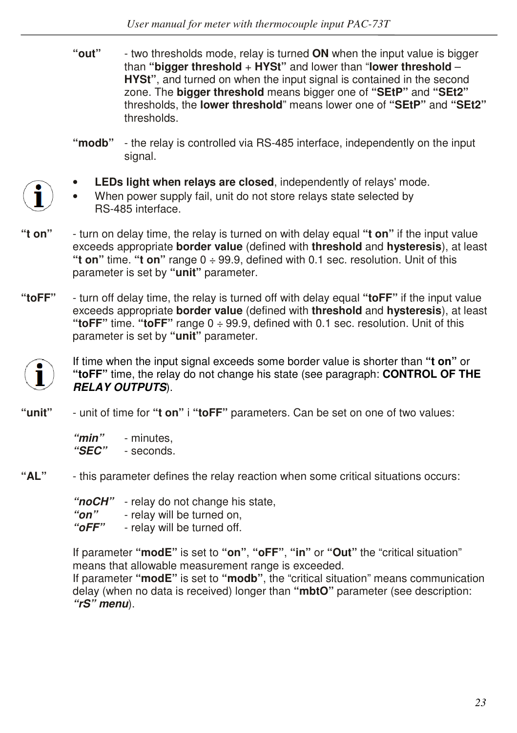- **"out"**  two thresholds mode, relay is turned **ON** when the input value is bigger than **"bigger threshold** + **HYSt"** and lower than "**lower threshold** – **HYSt"**, and turned on when the input signal is contained in the second zone. The **bigger threshold** means bigger one of **"SEtP"** and **"SEt2"**  thresholds, the **lower threshold**" means lower one of **"SEtP"** and **"SEt2"**  thresholds.
- **"modb"** the relay is controlled via RS-485 interface, independently on the input signal.



- When power supply fail, unit do not store relays state selected by RS-485 interface.
- **"t on"**  turn on delay time, the relay is turned on with delay equal **"t on"** if the input value exceeds appropriate **border value** (defined with **threshold** and **hysteresis**), at least **"t on"** time. **"t on"** range 0 ÷ 99.9, defined with 0.1 sec. resolution. Unit of this parameter is set by **"unit"** parameter.
- **"toFF"**  turn off delay time, the relay is turned off with delay equal **"toFF"** if the input value exceeds appropriate **border value** (defined with **threshold** and **hysteresis**), at least **"toFF"** time. **"toFF"** range 0 ÷ 99.9, defined with 0.1 sec. resolution. Unit of this parameter is set by **"unit"** parameter.



If time when the input signal exceeds some border value is shorter than **"t on"** or **"toFF"** time, the relay do not change his state (see paragraph: **CONTROL OF THE** *RELAY OUTPUTS*).

**"unit"** - unit of time for **"t on"** i **"toFF"** parameters. Can be set on one of two values:

 *"min"* - minutes,  *"SEC"* - seconds.

**"AL"** - this parameter defines the relay reaction when some critical situations occurs:

 *"noCH"* - relay do not change his state,

- *"on"*  relay will be turned on,
- *"oFF"*  relay will be turned off.

If parameter **"modE"** is set to **"on"**, **"oFF"**, **"in"** or **"Out"** the "critical situation" means that allowable measurement range is exceeded.

If parameter **"modE"** is set to **"modb"**, the "critical situation" means communication delay (when no data is received) longer than **"mbtO"** parameter (see description: *"rS" menu*).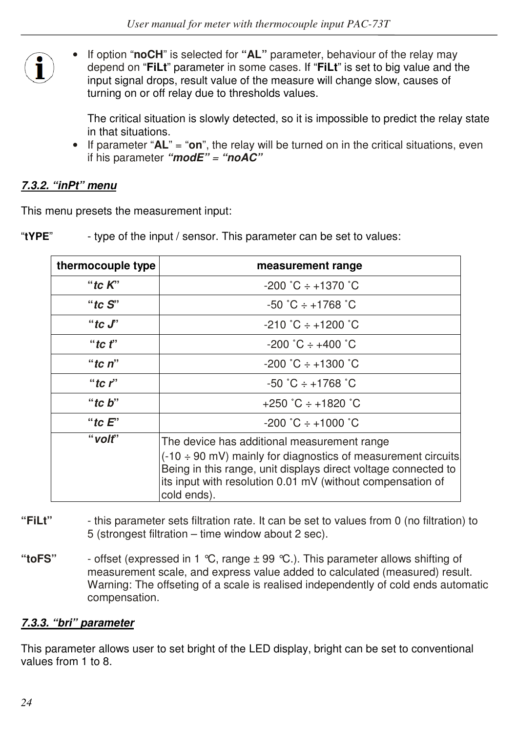• If option "**noCH**" is selected for **"AL"** parameter, behaviour of the relay may depend on "**FiLt**" parameter in some cases. If "**FiLt**" is set to big value and the input signal drops, result value of the measure will change slow, causes of turning on or off relay due to thresholds values.

 The critical situation is slowly detected, so it is impossible to predict the relay state in that situations.

• If parameter "**AL**" = "**on**", the relay will be turned on in the critical situations, even if his parameter *"modE" = "noAC"*

#### *7.3.2. "inPt" menu*

This menu presets the measurement input:

| "tYPE" | - type of the input / sensor. This parameter can be set to values: |
|--------|--------------------------------------------------------------------|
|--------|--------------------------------------------------------------------|

| thermocouple type | measurement range                                                                                                                                                                                                        |
|-------------------|--------------------------------------------------------------------------------------------------------------------------------------------------------------------------------------------------------------------------|
| "tc $K$ "         | $-200$ $^{\circ}$ C $\div$ $+1370$ $^{\circ}$ C                                                                                                                                                                          |
| "tc $S$ "         | $-50^{\circ}$ C $\div$ +1768 $^{\circ}$ C                                                                                                                                                                                |
| "to $J$ "         | $-210 \degree C + 1200 \degree C$                                                                                                                                                                                        |
| "tc $f$ "         | $-200 °C \div +400 °C$                                                                                                                                                                                                   |
| "tc $n$ "         | $-200 °C + 1300 °C$                                                                                                                                                                                                      |
| "to $r$ "         | $-50 \degree C + 1768 \degree C$                                                                                                                                                                                         |
| "tc $b$ "         | $+250$ °C $\div$ +1820 °C                                                                                                                                                                                                |
| "to $E$ "         | $-200 °C \div +1000 °C$                                                                                                                                                                                                  |
| "volt"            | The device has additional measurement range                                                                                                                                                                              |
|                   | $(-10 \div 90 \text{ mV})$ mainly for diagnostics of measurement circuits<br>Being in this range, unit displays direct voltage connected to<br>its input with resolution 0.01 mV (without compensation of<br>cold ends). |

- **"FiLt"**  this parameter sets filtration rate. It can be set to values from 0 (no filtration) to 5 (strongest filtration – time window about 2 sec).
- **"toFS"**  offset (expressed in 1 °C, range ± 99 °C.). This parameter allows shifting of measurement scale, and express value added to calculated (measured) result. Warning: The offseting of a scale is realised independently of cold ends automatic compensation.

#### *7.3.3. "bri" parameter*

This parameter allows user to set bright of the LED display, bright can be set to conventional values from 1 to 8.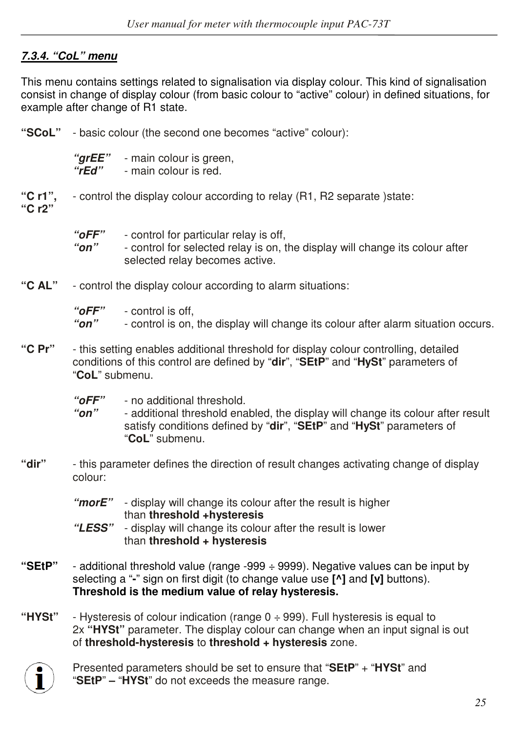## *7.3.4. "CoL" menu*

This menu contains settings related to signalisation via display colour. This kind of signalisation consist in change of display colour (from basic colour to "active" colour) in defined situations, for example after change of R1 state.

**"SCoL"** - basic colour (the second one becomes "active" colour):

"**grEE**" - main colour is green,<br>"rFd" - main colour is red. - main colour is red.

- **"C r1",**  control the display colour according to relay (R1, R2 separate )state: **"C r2"**
	- *"oFF"*  control for particular relay is off,  *"on"* - control for selected relay is on, the display will change its colour after selected relay becomes active.
- **"C AL"**  control the display colour according to alarm situations:

 *"oFF"* - control is off,

- *"on"*  control is on, the display will change its colour after alarm situation occurs.
- **"C Pr"**  this setting enables additional threshold for display colour controlling, detailed conditions of this control are defined by "**dir**", "**SEtP**" and "**HySt**" parameters of "**CoL**" submenu.
	- *"oFF"*  no additional threshold.
	- *"on"*  additional threshold enabled, the display will change its colour after result satisfy conditions defined by "**dir**", "**SEtP**" and "**HySt**" parameters of "**CoL**" submenu.
- **"dir"**  this parameter defines the direction of result changes activating change of display colour:
	- *"morE"*  display will change its colour after the result is higher than **threshold +hysteresis**
	- *"LESS"*  display will change its colour after the result is lower than **threshold + hysteresis**
- **"SEtP"**  additional threshold value (range -999 ÷ 9999). Negative values can be input by selecting a "**-**" sign on first digit (to change value use **[^]** and **[v]** buttons). **Threshold is the medium value of relay hysteresis.**
- **"HYSt"**  Hysteresis of colour indication (range 0 ÷ 999). Full hysteresis is equal to 2x **"HYSt"** parameter. The display colour can change when an input signal is out of **threshold-hysteresis** to **threshold + hysteresis** zone.



Presented parameters should be set to ensure that "**SEtP**" + "**HYSt**" and "**SEtP**" **–** "**HYSt**" do not exceeds the measure range.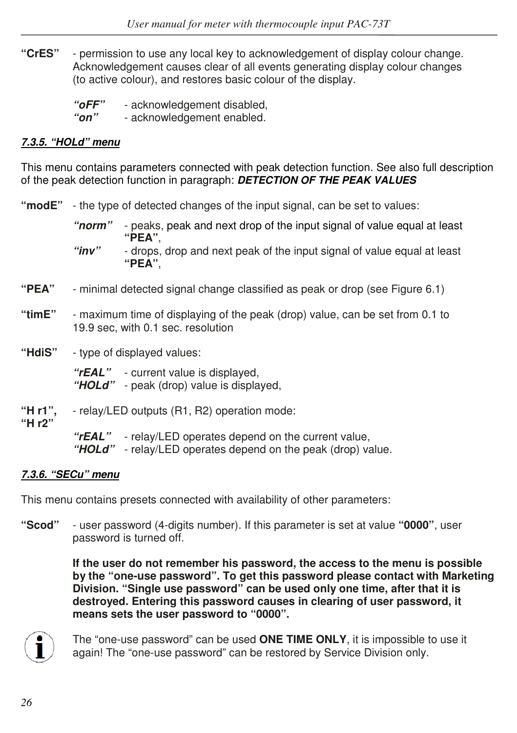- **"CrES"**  permission to use any local key to acknowledgement of display colour change. Acknowledgement causes clear of all events generating display colour changes (to active colour), and restores basic colour of the display.
	- *"oFF"*  acknowledgement disabled,  *"on"* - acknowledgement enabled.

#### *7.3.5. "HOLd" menu*

This menu contains parameters connected with peak detection function. See also full description of the peak detection function in paragraph: *DETECTION OF THE PEAK VALUES* 

**"modE"** - the type of detected changes of the input signal, can be set to values:

 *"norm"* - peaks, peak and next drop of the input signal of value equal at least  **"PEA"**,

 *"inv"* - drops, drop and next peak of the input signal of value equal at least  **"PEA"**,

- **"PEA"** minimal detected signal change classified as peak or drop (see Figure 6.1)
- **"timE"**  maximum time of displaying of the peak (drop) value, can be set from 0.1 to 19.9 sec, with 0.1 sec. resolution
- **"HdiS"**  type of displayed values:

 *"rEAL"* - current value is displayed,  *"HOLd"* - peak (drop) value is displayed,

- **"H r1",**  relay/LED outputs (R1, R2) operation mode:
- **"H r2"**

 *"rEAL"* - relay/LED operates depend on the current value,

 *"HOLd"* - relay/LED operates depend on the peak (drop) value.

#### *7.3.6. "SECu" menu*

This menu contains presets connected with availability of other parameters:

**"Scod"** - user password (4-digits number). If this parameter is set at value **"0000"**, user password is turned off.

> **If the user do not remember his password, the access to the menu is possible by the "one-use password". To get this password please contact with Marketing Division. "Single use password" can be used only one time, after that it is destroyed. Entering this password causes in clearing of user password, it means sets the user password to "0000".**



The "one-use password" can be used **ONE TIME ONLY**, it is impossible to use it again! The "one-use password" can be restored by Service Division only.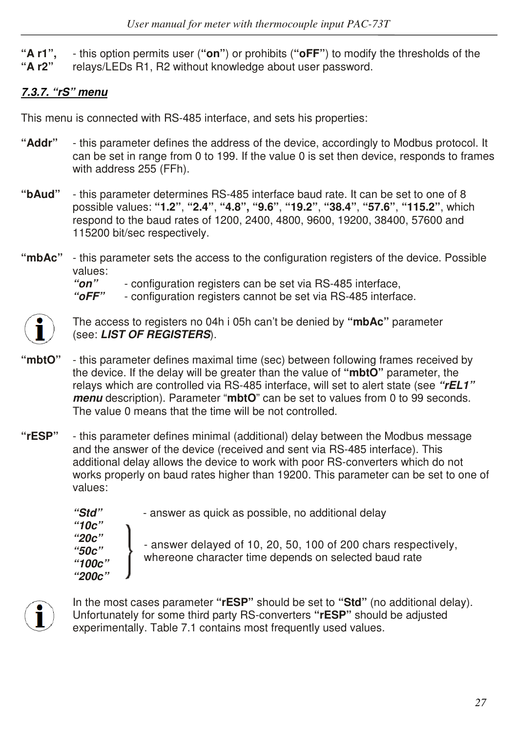- **"A r1",**  this option permits user (**"on"**) or prohibits (**"oFF"**) to modify the thresholds of the
- **"A r2"** relays/LEDs R1, R2 without knowledge about user password.

# *7.3.7. "rS" menu*

This menu is connected with RS-485 interface, and sets his properties:

- **"Addr"**  this parameter defines the address of the device, accordingly to Modbus protocol. It can be set in range from 0 to 199. If the value 0 is set then device, responds to frames with address 255 (FFh).
- **"bAud"** this parameter determines RS-485 interface baud rate. It can be set to one of 8 possible values: **"1.2"**, **"2.4"**, **"4.8", "9.6"**, **"19.2"**, **"38.4"**, **"57.6"**, **"115.2"**, which respond to the baud rates of 1200, 2400, 4800, 9600, 19200, 38400, 57600 and 115200 bit/sec respectively.
- **"mbAc"**  this parameter sets the access to the configuration registers of the device. Possible values:<br>"on"

 *"on"* - configuration registers can be set via RS-485 interface,

- configuration registers cannot be set via RS-485 interface.



The access to registers no 04h i 05h can't be denied by **"mbAc"** parameter (see: *LIST OF REGISTERS*).

- **"mbtO"**  this parameter defines maximal time (sec) between following frames received by the device. If the delay will be greater than the value of **"mbtO"** parameter, the relays which are controlled via RS-485 interface, will set to alert state (see *"rEL1" menu* description). Parameter "**mbtO**" can be set to values from 0 to 99 seconds. The value 0 means that the time will be not controlled.
- **"rESP"**  this parameter defines minimal (additional) delay between the Modbus message and the answer of the device (received and sent via RS-485 interface). This additional delay allows the device to work with poor RS-converters which do not works properly on baud rates higher than 19200. This parameter can be set to one of values:

 *"Std"* - answer as quick as possible, no additional delay  *"10c" "20c" "50c" "100c" "200c"*  - answer delayed of 10, 20, 50, 100 of 200 chars respectively, whereone character time depends on selected baud rate



In the most cases parameter **"rESP"** should be set to **"Std"** (no additional delay). Unfortunately for some third party RS-converters **"rESP"** should be adjusted experimentally. Table 7.1 contains most frequently used values.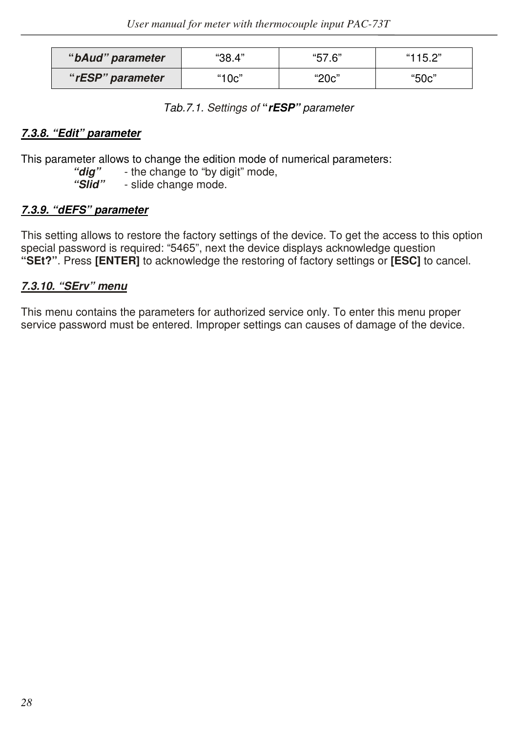| "bAud" parameter | "38.4" | "57.6" | "115.2" |  |
|------------------|--------|--------|---------|--|
| "rESP" parameter | "10c"  | "20c"  | "50c"   |  |

*Tab.7.1. Settings of* **"***rESP" parameter* 

#### *7.3.8. "Edit" parameter*

This parameter allows to change the edition mode of numerical parameters:<br>"
dig" - the change to "by digit" mode.

"*dig*" - the change to "by digit" mode,<br>"Slid" - slide change mode.

- slide change mode.

#### *7.3.9. "dEFS" parameter*

This setting allows to restore the factory settings of the device. To get the access to this option special password is required: "5465", next the device displays acknowledge question **"SEt?"**. Press **[ENTER]** to acknowledge the restoring of factory settings or **[ESC]** to cancel.

#### *7.3.10. "SErv" menu*

This menu contains the parameters for authorized service only. To enter this menu proper service password must be entered. Improper settings can causes of damage of the device.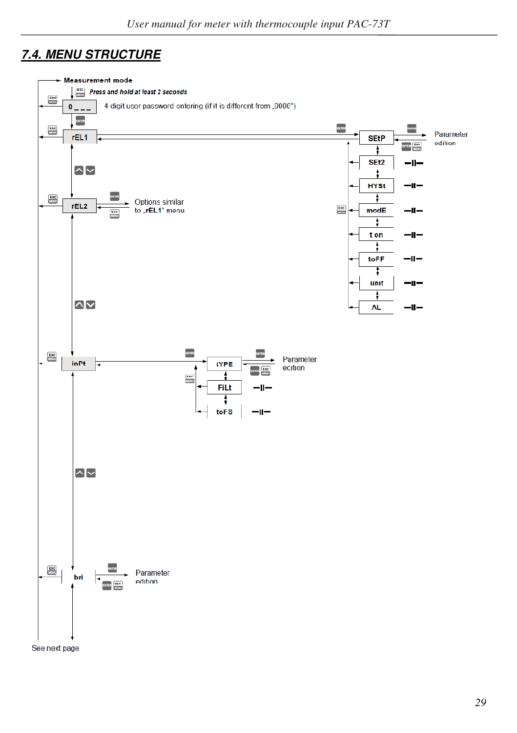## *7.4. MENU STRUCTURE*



See next page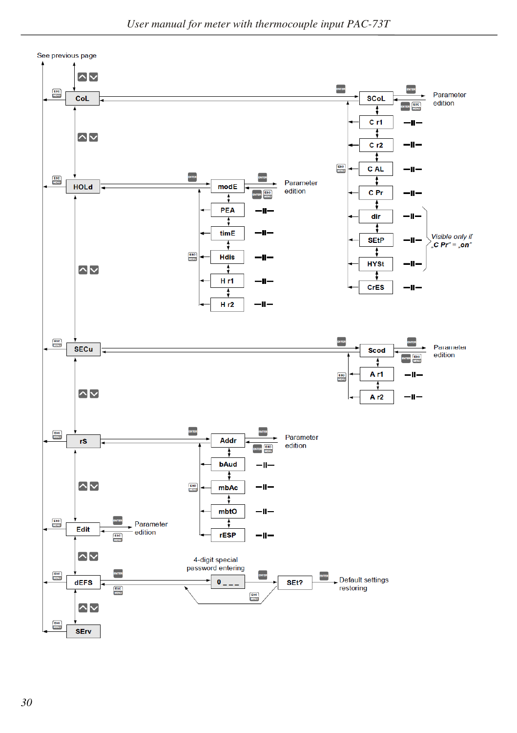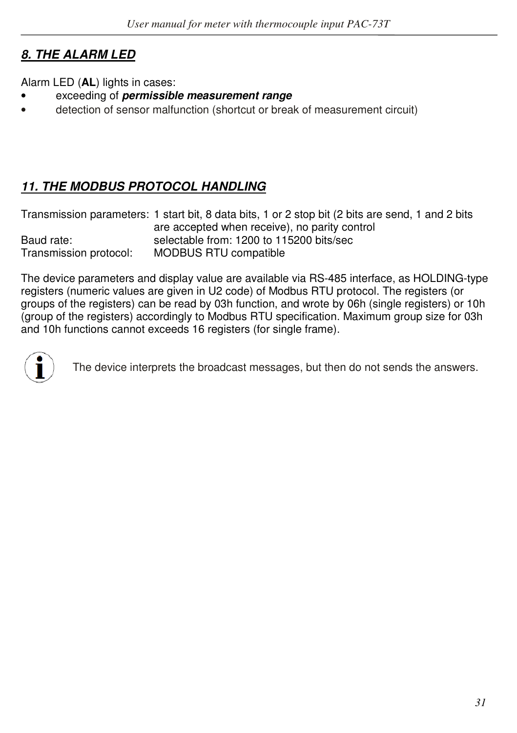# *8. THE ALARM LED*

Alarm LED (**AL**) lights in cases:

- exceeding of *permissible measurement range*
- detection of sensor malfunction (shortcut or break of measurement circuit)

# *11. THE MODBUS PROTOCOL HANDLING*

|                        | Transmission parameters: 1 start bit, 8 data bits, 1 or 2 stop bit (2 bits are send, 1 and 2 bits |
|------------------------|---------------------------------------------------------------------------------------------------|
|                        | are accepted when receive), no parity control                                                     |
| Baud rate:             | selectable from: 1200 to 115200 bits/sec                                                          |
| Transmission protocol: | MODBUS RTU compatible                                                                             |

The device parameters and display value are available via RS-485 interface, as HOLDING-type registers (numeric values are given in U2 code) of Modbus RTU protocol. The registers (or groups of the registers) can be read by 03h function, and wrote by 06h (single registers) or 10h (group of the registers) accordingly to Modbus RTU specification. Maximum group size for 03h and 10h functions cannot exceeds 16 registers (for single frame).



The device interprets the broadcast messages, but then do not sends the answers.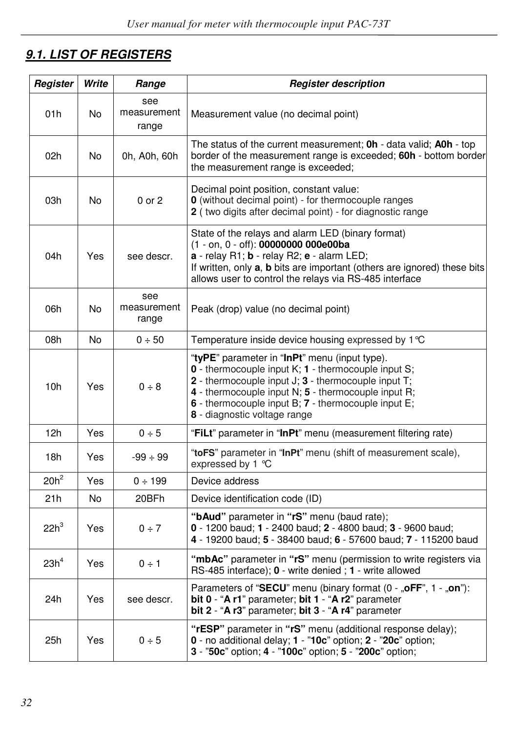# *9.1. LIST OF REGISTERS*

| Register         | Write | Range                       | <b>Register description</b>                                                                                                                                                                                                                                                                                                    |  |  |  |  |  |
|------------------|-------|-----------------------------|--------------------------------------------------------------------------------------------------------------------------------------------------------------------------------------------------------------------------------------------------------------------------------------------------------------------------------|--|--|--|--|--|
| 01h              | No    | see<br>measurement<br>range | Measurement value (no decimal point)                                                                                                                                                                                                                                                                                           |  |  |  |  |  |
| 02h              | No    | 0h, A0h, 60h                | The status of the current measurement; <b>Oh</b> - data valid; <b>AOh</b> - top<br>border of the measurement range is exceeded; 60h - bottom border<br>the measurement range is exceeded;                                                                                                                                      |  |  |  |  |  |
| 03h              | No    | $0$ or $2$                  | Decimal point position, constant value:<br><b>0</b> (without decimal point) - for thermocouple ranges<br>2 (two digits after decimal point) - for diagnostic range                                                                                                                                                             |  |  |  |  |  |
| 04h              | Yes   | see descr.                  | State of the relays and alarm LED (binary format)<br>(1 - on, 0 - off): 00000000 000e00ba<br>a - relay R1; b - relay R2; e - alarm LED;<br>If written, only <b>a</b> , <b>b</b> bits are important (others are ignored) these bits<br>allows user to control the relays via RS-485 interface                                   |  |  |  |  |  |
| 06h              | No    | see<br>measurement<br>range | Peak (drop) value (no decimal point)                                                                                                                                                                                                                                                                                           |  |  |  |  |  |
| 08h              | No    | 0 ÷ 50                      | Temperature inside device housing expressed by $1^{\circ}C$                                                                                                                                                                                                                                                                    |  |  |  |  |  |
| 10h              | Yes   | 0 ÷ 8                       | "tyPE" parameter in "InPt" menu (input type).<br><b>0</b> - thermocouple input $K$ ; <b>1</b> - thermocouple input S;<br>2 - thermocouple input $J: 3$ - thermocouple input $T:$<br>4 - thermocouple input N; 5 - thermocouple input R;<br>6 - thermocouple input B; 7 - thermocouple input E;<br>8 - diagnostic voltage range |  |  |  |  |  |
| 12h              | Yes   | 0 ÷ 5                       | "FiLt" parameter in "InPt" menu (measurement filtering rate)                                                                                                                                                                                                                                                                   |  |  |  |  |  |
| 18h              | Yes   | $-99 \div 99$               | "toFS" parameter in "InPt" menu (shift of measurement scale),<br>expressed by 1 °C                                                                                                                                                                                                                                             |  |  |  |  |  |
| $20h^2$          | Yes   | 0 ÷ 199                     | Device address                                                                                                                                                                                                                                                                                                                 |  |  |  |  |  |
| 21h              | No    | 20BFh                       | Device identification code (ID)                                                                                                                                                                                                                                                                                                |  |  |  |  |  |
| $22h^3$          | Yes   | $0 \div 7$                  | "bAud" parameter in "rS" menu (baud rate);<br>0 - 1200 baud; 1 - 2400 baud; 2 - 4800 baud; 3 - 9600 baud;<br>4 - 19200 baud; 5 - 38400 baud; 6 - 57600 baud; 7 - 115200 baud                                                                                                                                                   |  |  |  |  |  |
| 23h <sup>4</sup> | Yes   | 0 ÷ 1                       | "mbAc" parameter in "rS" menu (permission to write registers via<br>RS-485 interface); 0 - write denied; 1 - write allowed                                                                                                                                                                                                     |  |  |  |  |  |
| 24h              | Yes   | see descr.                  | Parameters of "SECU" menu (binary format (0 - "oFF", 1 - "on"):<br>bit 0 - "A r1" parameter; bit 1 - "A r2" parameter<br>bit 2 - "A r3" parameter; bit 3 - "A r4" parameter                                                                                                                                                    |  |  |  |  |  |
| 25h              | Yes   | 0 ÷ 5                       | "rESP" parameter in "rS" menu (additional response delay);<br>0 - no additional delay; 1 - "10c" option; 2 - "20c" option;<br>3 - "50c" option; 4 - "100c" option; 5 - "200c" option;                                                                                                                                          |  |  |  |  |  |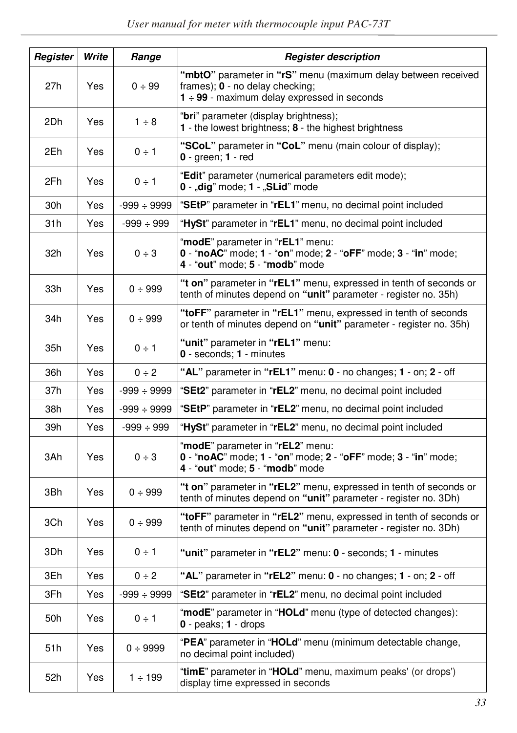| Register | Write | Range            | <b>Register description</b>                                                                                                                         |  |  |  |  |
|----------|-------|------------------|-----------------------------------------------------------------------------------------------------------------------------------------------------|--|--|--|--|
| 27h      | Yes   | 0 ÷ 99           | "mbtO" parameter in "rS" menu (maximum delay between received<br>frames); $0$ - no delay checking;<br>$1 - 99$ - maximum delay expressed in seconds |  |  |  |  |
| 2Dh      | Yes   | $1 \div 8$       | "bri" parameter (display brightness);<br>1 - the lowest brightness; 8 - the highest brightness                                                      |  |  |  |  |
| 2Eh      | Yes   | $0 \div 1$       | "SCoL" parameter in "CoL" menu (main colour of display);<br>$0$ - green; $1$ - red                                                                  |  |  |  |  |
| 2Fh      | Yes   | $0 \div 1$       | "Edit" parameter (numerical parameters edit mode);<br>0 - "dig" mode; 1 - "SLid" mode                                                               |  |  |  |  |
| 30h      | Yes   | $-999 \div 9999$ | "SEtP" parameter in "rEL1" menu, no decimal point included                                                                                          |  |  |  |  |
| 31h      | Yes   | $-999 \div 999$  | "HySt" parameter in "rEL1" menu, no decimal point included                                                                                          |  |  |  |  |
| 32h      | Yes   | 0 ÷ 3            | "modE" parameter in "rEL1" menu:<br>0 - "noAC" mode; 1 - "on" mode; 2 - "oFF" mode; 3 - "in" mode;<br>4 - "out" mode; 5 - "modb" mode               |  |  |  |  |
| 33h      | Yes   | 0 ÷ 999          | "t on" parameter in "rEL1" menu, expressed in tenth of seconds or<br>tenth of minutes depend on "unit" parameter - register no. 35h)                |  |  |  |  |
| 34h      | Yes   | 0 ÷ 999          | "toFF" parameter in "rEL1" menu, expressed in tenth of seconds<br>or tenth of minutes depend on "unit" parameter - register no. 35h)                |  |  |  |  |
| 35h      | Yes   | $0 \div 1$       | "unit" parameter in "rEL1" menu:<br>0 - seconds; 1 - minutes                                                                                        |  |  |  |  |
| 36h      | Yes   | $0 \div 2$       | "AL" parameter in "rEL1" menu: 0 - no changes; 1 - on; 2 - off                                                                                      |  |  |  |  |
| 37h      | Yes   | $-999 \div 9999$ | "SEt2" parameter in "rEL2" menu, no decimal point included                                                                                          |  |  |  |  |
| 38h      | Yes   | $-999 \div 9999$ | "SEtP" parameter in "rEL2" menu, no decimal point included                                                                                          |  |  |  |  |
| 39h      | Yes   | $-999 \div 999$  | "HySt" parameter in "rEL2" menu, no decimal point included                                                                                          |  |  |  |  |
| 3Ah      | Yes   | 0 ÷ 3            | "modE" parameter in "rEL2" menu:<br>0 - "noAC" mode; 1 - "on" mode; 2 - "oFF" mode; 3 - "in" mode;<br>4 - "out" mode; 5 - "modb" mode               |  |  |  |  |
| 3Bh      | Yes   | 0 ÷ 999          | "t on" parameter in "rEL2" menu, expressed in tenth of seconds or<br>tenth of minutes depend on "unit" parameter - register no. 3Dh)                |  |  |  |  |
| 3Ch      | Yes   | 0 ÷ 999          | "toFF" parameter in "rEL2" menu, expressed in tenth of seconds or<br>tenth of minutes depend on "unit" parameter - register no. 3Dh)                |  |  |  |  |
| 3Dh      | Yes   | $0 \div 1$       | "unit" parameter in "rEL2" menu: 0 - seconds; 1 - minutes                                                                                           |  |  |  |  |
| 3Eh      | Yes   | 0 ÷ 2            | "AL" parameter in "rEL2" menu: 0 - no changes; 1 - on; 2 - off                                                                                      |  |  |  |  |
| 3Fh      | Yes   | $-999 \div 9999$ | "SEt2" parameter in "rEL2" menu, no decimal point included                                                                                          |  |  |  |  |
| 50h      | Yes   | $0 \div 1$       | "modE" parameter in "HOLd" menu (type of detected changes):<br>$0$ - peaks; $1$ - drops                                                             |  |  |  |  |
| 51h      | Yes   | 0 ÷ 9999         | "PEA" parameter in "HOLd" menu (minimum detectable change,<br>no decimal point included)                                                            |  |  |  |  |
| 52h      | Yes   | $1 \div 199$     | "timE" parameter in "HOLd" menu, maximum peaks' (or drops')<br>display time expressed in seconds                                                    |  |  |  |  |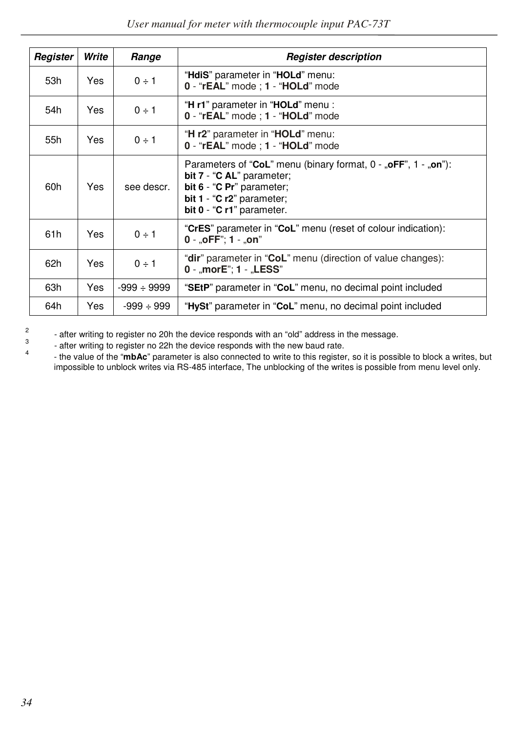| Register | Write      | Range            | <b>Register description</b>                                                                                                                                                                 |
|----------|------------|------------------|---------------------------------------------------------------------------------------------------------------------------------------------------------------------------------------------|
| 53h      | <b>Yes</b> | $0 \div 1$       | "HdiS" parameter in "HOLd" menu:<br>0 - "rEAL" mode : 1 - "HOLd" mode                                                                                                                       |
| 54h      | <b>Yes</b> | $0 \div 1$       | "H r1" parameter in "HOLd" menu :<br>0 - "rEAL" mode : 1 - "HOLd" mode                                                                                                                      |
| 55h      | <b>Yes</b> | $0 \div 1$       | "H r2" parameter in "HOLd" menu:<br>0 - "rEAL" mode : 1 - "HOLd" mode                                                                                                                       |
| 60h      | <b>Yes</b> | see descr.       | Parameters of "CoL" menu (binary format, $0 - 0.0$ FF", $1 - 0.0$ mm"):<br>bit 7 - "C AL" parameter;<br>bit 6 - "C Pr" parameter;<br>bit 1 - "C r2" parameter;<br>bit 0 - "C r1" parameter. |
| 61h      | <b>Yes</b> | $0 \div 1$       | "CrES" parameter in "CoL" menu (reset of colour indication):<br>$0 - .0$ FF": 1 $-.0n$ "                                                                                                    |
| 62h      | Yes        | $0 \div 1$       | " <b>dir</b> " parameter in " <b>CoL</b> " menu (direction of value changes):<br>0 - "morE"; 1 - "LESS"                                                                                     |
| 63h      | Yes        | $-999 \div 9999$ | "SEtP" parameter in "CoL" menu, no decimal point included                                                                                                                                   |
| 64h      | Yes        | $-999 \div 999$  | "HySt" parameter in "CoL" menu, no decimal point included                                                                                                                                   |

2 3 4

- after writing to register no 20h the device responds with an "old" address in the message.

- after writing to register no 22h the device responds with the new baud rate.

 - the value of the "**mbAc**" parameter is also connected to write to this register, so it is possible to block a writes, but impossible to unblock writes via RS-485 interface, The unblocking of the writes is possible from menu level only.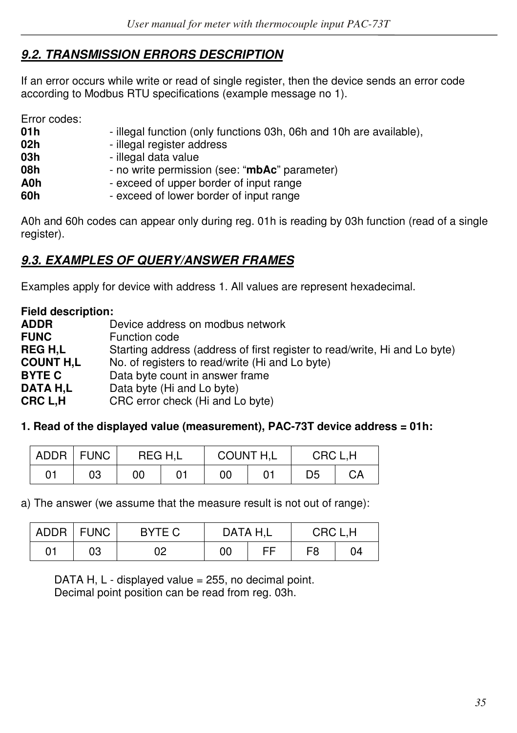## *9.2. TRANSMISSION ERRORS DESCRIPTION*

If an error occurs while write or read of single register, then the device sends an error code according to Modbus RTU specifications (example message no 1).

Error codes:

| 01 h | - illegal function (only functions 03h, 06h and 10h are available), |
|------|---------------------------------------------------------------------|
| 02h  | - illegal register address                                          |
| 03h  | - illegal data value                                                |
| 08h  | - no write permission (see: "mbAc" parameter)                       |
| A0h  | - exceed of upper border of input range                             |
| 60h  | - exceed of lower border of input range                             |
|      |                                                                     |

A0h and 60h codes can appear only during reg. 01h is reading by 03h function (read of a single register).

## *9.3. EXAMPLES OF QUERY/ANSWER FRAMES*

Examples apply for device with address 1. All values are represent hexadecimal.

**Field description: ADDR Device address on modbus network**<br> **FUNC Device** Function code **FUNC** Function code<br> **REG H.L** Starting addres Starting address (address of first register to read/write, Hi and Lo byte) **COUNT H,L** No. of registers to read/write (Hi and Lo byte) **BYTE C** Data byte count in answer frame **DATA H,L** Data byte (Hi and Lo byte)<br>**CRC L.H** CRC error check (Hi and L CRC error check (Hi and Lo byte)

#### **1. Read of the displayed value (measurement), PAC-73T device address = 01h:**

| <b>ADDR</b> | <b>FUNC</b> | REG H.L |    | COUNT H,L |  | CRC L.H |    |
|-------------|-------------|---------|----|-----------|--|---------|----|
| 01          | 03          | 00      | 01 | 00        |  | D5      | СA |

a) The answer (we assume that the measure result is not out of range):

|    | ADDR   FUNC | BYTE C | DATA H.L |  | CRC L.H |    |  |
|----|-------------|--------|----------|--|---------|----|--|
| 01 | 03          | 02     | 00       |  | F8      | 04 |  |

DATA H,  $L$  - displayed value = 255, no decimal point. Decimal point position can be read from reg. 03h.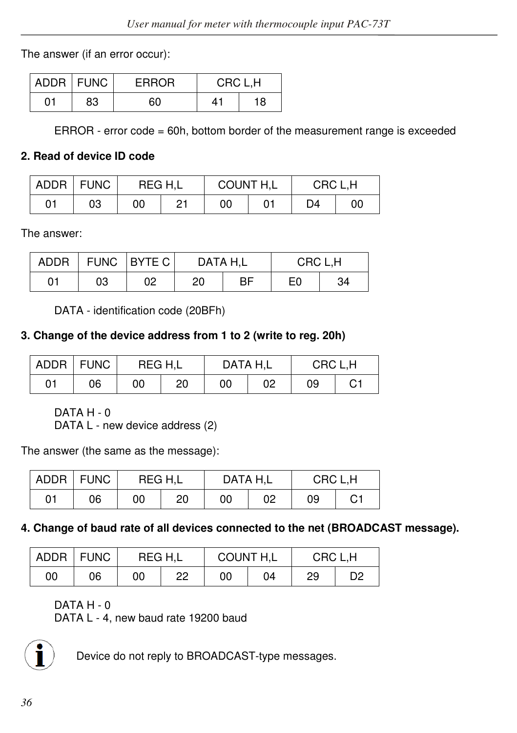The answer (if an error occur):

|    | ADDR   FUNC | <b>ERROR</b> | CRC L,H |    |  |
|----|-------------|--------------|---------|----|--|
| 01 | 83          | 60           | 41      | 18 |  |

ERROR - error code = 60h, bottom border of the measurement range is exceeded

## **2. Read of device ID code**

|    | ADDR   FUNC | REG H.L |    | COUNT H,L<br>CRC L.H |  |    |    |
|----|-------------|---------|----|----------------------|--|----|----|
| 01 | 03          | 00      | Ο1 | 00                   |  | D4 | 00 |

The answer:

| <b>ADDR</b> |    | FUNC BYTE C | DATA H.L |    | CRC L.H |    |  |
|-------------|----|-------------|----------|----|---------|----|--|
| 01          | 03 | 02          | 20       | ВF | E0      | 34 |  |

DATA - identification code (20BFh)

## **3. Change of the device address from 1 to 2 (write to reg. 20h)**

|    | ADDR   FUNC | REG H.L |    | DATA H.L |    | CRC L.H |    |  |
|----|-------------|---------|----|----------|----|---------|----|--|
| 01 | 06          | 00      | 20 | 00       | 02 | 09      | C1 |  |

DATA H - 0

DATA L - new device address (2)

The answer (the same as the message):

|    | ADDR FUNC | REG H.L |    |    | DATA H.L<br>CRC L.H |    |    |
|----|-----------|---------|----|----|---------------------|----|----|
| 01 | 06        | 00      | 20 | 00 | 02                  | 09 | С1 |

## **4. Change of baud rate of all devices connected to the net (BROADCAST message).**

|    | ADDR   FUNC | REG H.L |    | COUNT H,L |    | CRC L.H |    |
|----|-------------|---------|----|-----------|----|---------|----|
| 00 | 06          | 00      | 22 | 00        | 04 | 29      | D2 |

DATA H - 0

DATA L - 4, new baud rate 19200 baud



Device do not reply to BROADCAST-type messages.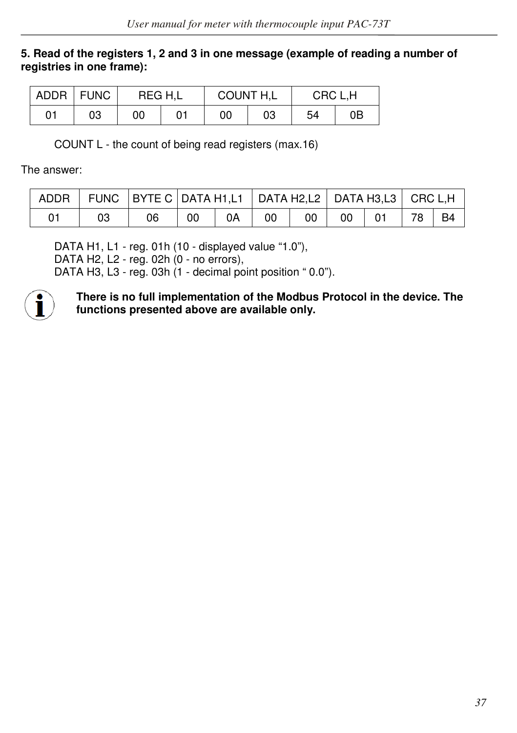#### **5. Read of the registers 1, 2 and 3 in one message (example of reading a number of registries in one frame):**

|    | ADDR   FUNC | REG H.L | COUNT H.L |    | CRC L.H |    |
|----|-------------|---------|-----------|----|---------|----|
| 01 | 03          | 00      | 00        | 03 | 54      | 0Β |

COUNT L - the count of being read registers (max.16)

The answer:

|  | ADDR   FUNC   BYTE C   DATA H1,L1   DATA H2,L2   DATA H3,L3   CRC L,H |    |    |    |    |       |                     |  |
|--|-----------------------------------------------------------------------|----|----|----|----|-------|---------------------|--|
|  | 06                                                                    | 00 | 0A | 00 | 00 | 00 01 | $\mid$ 78 $\mid$ B4 |  |

DATA H1, L1 - reg. 01h (10 - displayed value "1.0"), DATA H2, L2 - reg. 02h (0 - no errors), DATA H3, L3 - reg. 03h (1 - decimal point position " 0.0").



**There is no full implementation of the Modbus Protocol in the device. The functions presented above are available only.**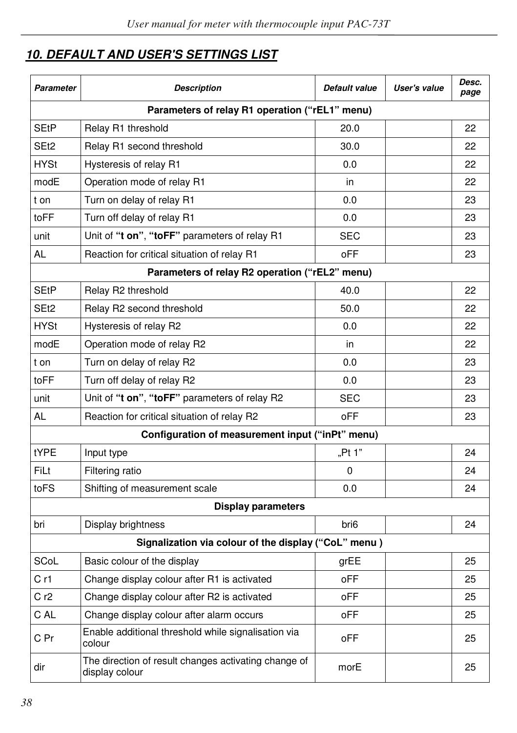# *10. DEFAULT AND USER'S SETTINGS LIST*

| Parameter        | <b>Description</b>                                                     | Default value    | User's value | Desc.<br>page |
|------------------|------------------------------------------------------------------------|------------------|--------------|---------------|
|                  | Parameters of relay R1 operation ("rEL1" menu)                         |                  |              |               |
| SEtP             | Relay R1 threshold                                                     | 20.0             |              | 22            |
| SE <sub>t2</sub> | Relay R1 second threshold                                              | 30.0             |              | 22            |
| <b>HYSt</b>      | Hysteresis of relay R1                                                 | 0.0              |              | 22            |
| modE             | Operation mode of relay R1                                             | in               |              | 22            |
| t on             | Turn on delay of relay R1                                              | 0.0              |              | 23            |
| toFF             | Turn off delay of relay R1                                             | 0.0              |              | 23            |
| unit             | Unit of "t on", "toFF" parameters of relay R1                          | <b>SEC</b>       |              | 23            |
| AL               | Reaction for critical situation of relay R1                            | oFF              |              | 23            |
|                  | Parameters of relay R2 operation ("rEL2" menu)                         |                  |              |               |
| SEtP             | Relay R <sub>2</sub> threshold                                         | 40.0             |              | 22            |
| SE <sub>t2</sub> | Relay R2 second threshold                                              | 50.0             |              | 22            |
| <b>HYSt</b>      | Hysteresis of relay R2                                                 | 0.0              |              | 22            |
| modE             | Operation mode of relay R2                                             | in               |              | 22            |
| t on             | Turn on delay of relay R2                                              | 0.0              |              | 23            |
| toFF             | Turn off delay of relay R2                                             | 0.0              |              | 23            |
| unit             | Unit of "t on", "toFF" parameters of relay R2                          | <b>SEC</b>       |              | 23            |
| AL               | Reaction for critical situation of relay R2                            | oFF              |              | 23            |
|                  | Configuration of measurement input ("inPt" menu)                       |                  |              |               |
| tYPE             | Input type                                                             | "Pt 1"           |              | 24            |
| FiLt             | Filtering ratio                                                        | 0                |              | 24            |
| toFS             | Shifting of measurement scale                                          | 0.0              |              | 24            |
|                  | Display parameters                                                     |                  |              |               |
| bri              | Display brightness                                                     | bri <sub>6</sub> |              | 24            |
|                  | Signalization via colour of the display ("CoL" menu)                   |                  |              |               |
| SCoL             | Basic colour of the display                                            | grEE             |              | 25            |
| Cr1              | Change display colour after R1 is activated                            | oFF              |              | 25            |
| C r2             | Change display colour after R2 is activated                            | oFF              |              | 25            |
| C AL             | Change display colour after alarm occurs                               | oFF              |              | 25            |
| C Pr             | Enable additional threshold while signalisation via<br>colour          | oFF              |              | 25            |
| dir              | The direction of result changes activating change of<br>display colour | morE             |              | 25            |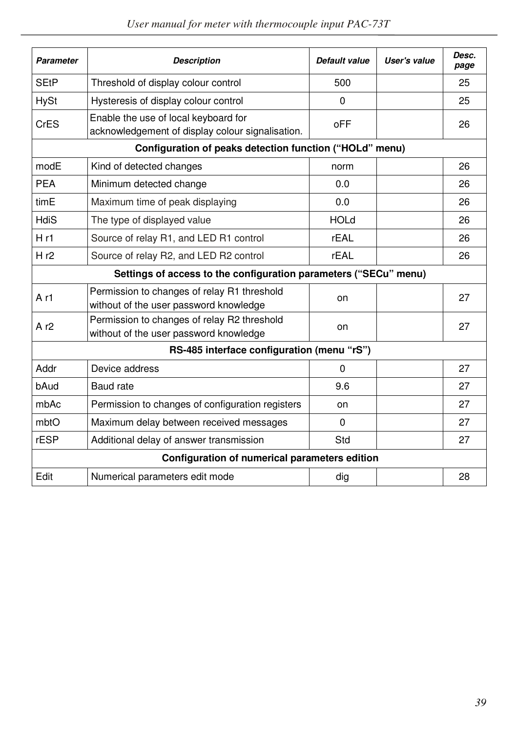| Parameter       | <b>Description</b>                                                                       | Default value | User's value | Desc.<br>page |
|-----------------|------------------------------------------------------------------------------------------|---------------|--------------|---------------|
| <b>SEtP</b>     | Threshold of display colour control                                                      | 500           |              | 25            |
| <b>HySt</b>     | Hysteresis of display colour control                                                     | 0             |              | 25            |
| <b>CrES</b>     | Enable the use of local keyboard for<br>acknowledgement of display colour signalisation. | oFF           |              | 26            |
|                 | Configuration of peaks detection function ("HOLd" menu)                                  |               |              |               |
| modE            | Kind of detected changes                                                                 | norm          |              | 26            |
| <b>PEA</b>      | Minimum detected change                                                                  | 0.0           |              | 26            |
| timE            | Maximum time of peak displaying                                                          | 0.0           |              | 26            |
| HdiS            | The type of displayed value                                                              | <b>HOLd</b>   |              | 26            |
| Hr1             | Source of relay R1, and LED R1 control                                                   | rEAL          |              | 26            |
| Hr2             | Source of relay R2, and LED R2 control                                                   | <b>rEAL</b>   |              | 26            |
|                 | Settings of access to the configuration parameters ("SECu" menu)                         |               |              |               |
| A <sub>r1</sub> | Permission to changes of relay R1 threshold<br>without of the user password knowledge    | on            |              | 27            |
| Ar2             | Permission to changes of relay R2 threshold<br>without of the user password knowledge    | on            |              | 27            |
|                 | RS-485 interface configuration (menu "rS")                                               |               |              |               |
| Addr            | Device address                                                                           | $\Omega$      |              | 27            |
| bAud            | Baud rate                                                                                | 9.6           |              | 27            |
| mbAc            | Permission to changes of configuration registers                                         | on            |              | 27            |
| mbtO            | Maximum delay between received messages                                                  | $\Omega$      |              | 27            |
| rESP            | Additional delay of answer transmission                                                  | Std           |              | 27            |
|                 | Configuration of numerical parameters edition                                            |               |              |               |
| Edit            | Numerical parameters edit mode                                                           | dig           |              | 28            |